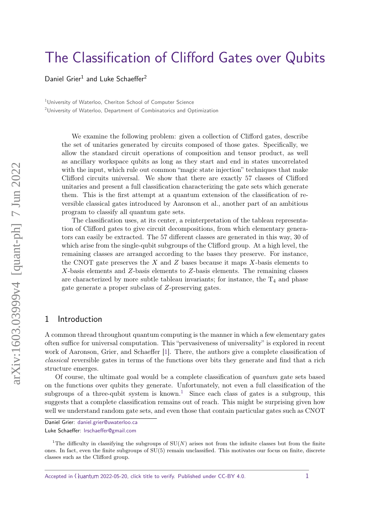# [The Classification of Clifford Gates over Qubits](https://quantum-journal.org/?s=The%20Classification%20of%20Clifford%20Gates%20over%20Qubits&reason=title-click)

Daniel Grier<sup>1</sup> and Luke Schaeffer<sup>2</sup>

<sup>1</sup>University of Waterloo, Cheriton School of Computer Science <sup>2</sup>University of Waterloo, Department of Combinatorics and Optimization

We examine the following problem: given a collection of Clifford gates, describe the set of unitaries generated by circuits composed of those gates. Specifically, we allow the standard circuit operations of composition and tensor product, as well as ancillary workspace qubits as long as they start and end in states uncorrelated with the input, which rule out common "magic state injection" techniques that make Clifford circuits universal. We show that there are exactly 57 classes of Clifford unitaries and present a full classification characterizing the gate sets which generate them. This is the first attempt at a quantum extension of the classification of reversible classical gates introduced by Aaronson et al., another part of an ambitious program to classify all quantum gate sets.

The classification uses, at its center, a reinterpretation of the tableau representation of Clifford gates to give circuit decompositions, from which elementary generators can easily be extracted. The 57 different classes are generated in this way, 30 of which arise from the single-qubit subgroups of the Clifford group. At a high level, the remaining classes are arranged according to the bases they preserve. For instance, the CNOT gate preserves the *X* and *Z* bases because it maps *X*-basis elements to *X*-basis elements and *Z*-basis elements to *Z*-basis elements. The remaining classes are characterized by more subtle tableau invariants; for instance, the  $T_4$  and phase gate generate a proper subclass of *Z*-preserving gates.

# 1 Introduction

A common thread throughout quantum computing is the manner in which a few elementary gates often suffice for universal computation. This "pervasiveness of universality" is explored in recent work of Aaronson, Grier, and Schaeffer [\[1\]](#page-36-0). There, the authors give a complete classification of classical reversible gates in terms of the functions over bits they generate and find that a rich structure emerges.

Of course, the ultimate goal would be a complete classification of quantum gate sets based on the functions over qubits they generate. Unfortunately, not even a full classification of the subgroups of a three-qubit system is known.<sup>[1](#page-0-0)</sup> Since each class of gates is a subgroup, this suggests that a complete classification remains out of reach. This might be surprising given how well we understand random gate sets, and even those that contain particular gates such as CNOT

Accepted in  $\lambda$ uantum 2022-05-20, click title to verify. Published under CC-BY 4.0. 1

Daniel Grier: [daniel.grier@uwaterloo.ca](mailto:daniel.grier@uwaterloo.ca)

Luke Schaeffer: [lrschaeffer@gmail.com](mailto:lrschaeffer@gmail.com)

<span id="page-0-0"></span><sup>&</sup>lt;sup>1</sup>The difficulty in classifying the subgroups of  $SU(N)$  arises not from the infinite classes but from the finite ones. In fact, even the finite subgroups of SU(5) remain unclassified. This motivates our focus on finite, discrete classes such as the Clifford group.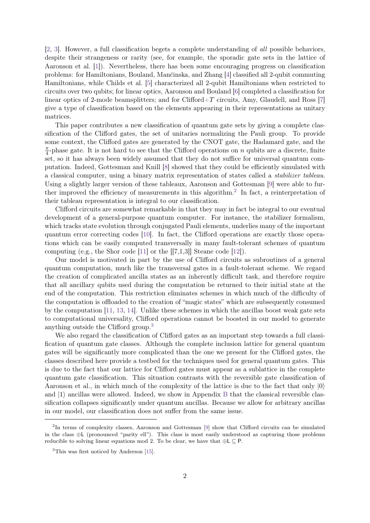[\[2,](#page-36-1) [3\]](#page-36-2). However, a full classification begets a complete understanding of all possible behaviors, despite their strangeness or rarity (see, for example, the sporadic gate sets in the lattice of Aaronson et al. [\[1\]](#page-36-0)). Nevertheless, there has been some encouraging progress on classification problems: for Hamiltonians, Bouland, Man˘cinska, and Zhang [\[4\]](#page-36-3) classified all 2-qubit commuting Hamiltonians, while Childs et al. [\[5\]](#page-36-4) characterized all 2-qubit Hamiltonians when restricted to circuits over two qubits; for linear optics, Aaronson and Bouland [\[6\]](#page-36-5) completed a classification for linear optics of 2-mode beamsplitters; and for Clifford+*T* circuits, Amy, Glaudell, and Ross [\[7\]](#page-36-6) give a type of classification based on the elements appearing in their representations as unitary matrices.

This paper contributes a new classification of quantum gate sets by giving a complete classification of the Clifford gates, the set of unitaries normalizing the Pauli group. To provide some context, the Clifford gates are generated by the CNOT gate, the Hadamard gate, and the *π*  $\frac{\pi}{4}$ -phase gate. It is not hard to see that the Clifford operations on *n* qubits are a discrete, finite set, so it has always been widely assumed that they do not suffice for universal quantum computation. Indeed, Gottesman and Knill [\[8\]](#page-37-0) showed that they could be efficiently simulated with a classical computer, using a binary matrix representation of states called a stabilizer tableau. Using a slightly larger version of these tableaux, Aaronson and Gottesman [\[9\]](#page-37-1) were able to fur-ther improved the efficiency of measurements in this algorithm.<sup>[2](#page-1-0)</sup> In fact, a reinterpretation of their tableau representation is integral to our classification.

Clifford circuits are somewhat remarkable in that they may in fact be integral to our eventual development of a general-purpose quantum computer. For instance, the stabilizer formalism, which tracks state evolution through conjugated Pauli elements, underlies many of the important quantum error correcting codes [\[10\]](#page-37-2). In fact, the Clifford operations are exactly those operations which can be easily computed transversally in many fault-tolerant schemes of quantum computing (e.g., the Shor code [\[11\]](#page-37-3) or the [[7,1,3]] Steane code [\[12\]](#page-37-4)).

Our model is motivated in part by the use of Clifford circuits as subroutines of a general quantum computation, much like the transversal gates in a fault-tolerant scheme. We regard the creation of complicated ancilla states as an inherently difficult task, and therefore require that all ancillary qubits used during the computation be returned to their initial state at the end of the computation. This restriction eliminates schemes in which much of the difficulty of the computation is offloaded to the creation of "magic states" which are subsequently consumed by the computation [\[11,](#page-37-3) [13,](#page-37-5) [14\]](#page-37-6). Unlike these schemes in which the ancillas boost weak gate sets to computational universality, Clifford operations cannot be boosted in our model to generate anything outside the Clifford group.[3](#page-1-1)

We also regard the classification of Clifford gates as an important step towards a full classification of quantum gate classes. Although the complete inclusion lattice for general quantum gates will be significantly more complicated than the one we present for the Clifford gates, the classes described here provide a testbed for the techniques used for general quantum gates. This is due to the fact that our lattice for Clifford gates must appear as a sublattice in the complete quantum gate classification. This situation contrasts with the reversible gate classification of Aaronson et al., in which much of the complexity of the lattice is due to the fact that only  $|0\rangle$ and  $|1\rangle$  ancillas were allowed. Indeed, we show in Appendix [B](#page-40-0) that the classical reversible classification collapses significantly under quantum ancillas. Because we allow for arbitrary ancillas in our model, our classification does not suffer from the same issue.

<span id="page-1-0"></span><sup>&</sup>lt;sup>2</sup>In terms of complexity classes, Aaronson and Gottesman [\[9\]](#page-37-1) show that Clifford circuits can be simulated in the class ⊕L (pronounced "parity ell"). This class is most easily understood as capturing those problems reducible to solving linear equations mod 2. To be clear, we have that  $\oplus \mathsf{L} \subseteq \mathsf{P}$ .

<span id="page-1-1"></span><sup>3</sup>This was first noticed by Anderson [\[15\]](#page-37-7).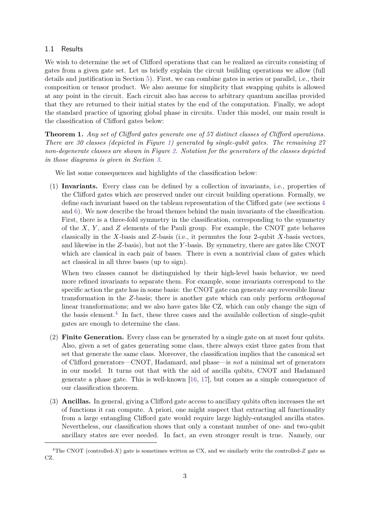### 1.1 Results

We wish to determine the set of Clifford operations that can be realized as circuits consisting of gates from a given gate set. Let us briefly explain the circuit building operations we allow (full details and justification in Section [5\)](#page-14-0). First, we can combine gates in series or parallel, i.e., their composition or tensor product. We also assume for simplicity that swapping qubits is allowed at any point in the circuit. Each circuit also has access to arbitrary quantum ancillas provided that they are returned to their initial states by the end of the computation. Finally, we adopt the standard practice of ignoring global phase in circuits. Under this model, our main result is the classification of Clifford gates below:

**Theorem 1.** *Any set of Clifford gates generate one of 57 distinct classes of Clifford operations. There are 30 classes (depicted in Figure [1\)](#page-4-0) generated by single-qubit gates. The remaining 27 non-degenerate classes are shown in Figure [2.](#page-5-0) Notation for the generators of the classes depicted in those diagrams is given in Section [3.](#page-7-0)*

We list some consequences and highlights of the classification below:

(1) **Invariants.** Every class can be defined by a collection of invariants, i.e., properties of the Clifford gates which are preserved under our circuit building operations. Formally, we define each invariant based on the tableau representation of the Clifford gate (see sections [4](#page-10-0) and [6\)](#page-17-0). We now describe the broad themes behind the main invariants of the classification. First, there is a three-fold symmetry in the classification, corresponding to the symmetry of the *X*, *Y* , and *Z* elements of the Pauli group. For example, the CNOT gate behaves classically in the *X*-basis and *Z*-basis (i.e., it permutes the four 2-qubit *X*-basis vectors, and likewise in the *Z*-basis), but not the *Y* -basis. By symmetry, there are gates like CNOT which are classical in each pair of bases. There is even a nontrivial class of gates which act classical in all three bases (up to sign).

When two classes cannot be distinguished by their high-level basis behavior, we need more refined invariants to separate them. For example, some invariants correspond to the specific action the gate has in some basis: the CNOT gate can generate any reversible linear transformation in the *Z*-basis; there is another gate which can only perform orthogonal linear transformations; and we also have gates like CZ, which can only change the sign of the basis element.<sup>[4](#page-2-0)</sup> In fact, these three cases and the available collection of single-qubit gates are enough to determine the class.

- (2) **Finite Generation.** Every class can be generated by a single gate on at most four qubits. Also, given a set of gates generating some class, there always exist three gates from that set that generate the same class. Moreover, the classification implies that the canonical set of Clifford generators—CNOT, Hadamard, and phase—is not a minimal set of generators in our model. It turns out that with the aid of ancilla qubits, CNOT and Hadamard generate a phase gate. This is well-known [\[16,](#page-37-8) [17\]](#page-37-9), but comes as a simple consequence of our classification theorem.
- (3) **Ancillas.** In general, giving a Clifford gate access to ancillary qubits often increases the set of functions it can compute. A priori, one might suspect that extracting all functionality from a large entangling Clifford gate would require large highly-entangled ancilla states. Nevertheless, our classification shows that only a constant number of one- and two-qubit ancillary states are ever needed. In fact, an even stronger result is true. Namely, our

<span id="page-2-0"></span><sup>&</sup>lt;sup>4</sup>The CNOT (controlled-*X*) gate is sometimes written as CX, and we similarly write the controlled-*Z* gate as CZ.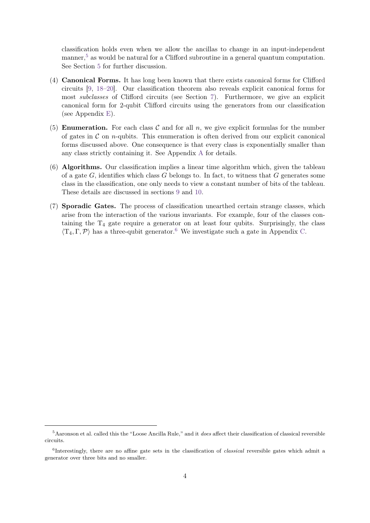classification holds even when we allow the ancillas to change in an input-independent manner,  $5$  as would be natural for a Clifford subroutine in a general quantum computation. See Section [5](#page-14-0) for further discussion.

- (4) **Canonical Forms.** It has long been known that there exists canonical forms for Clifford circuits [\[9,](#page-37-1) [18–](#page-37-10)[20\]](#page-37-11). Our classification theorem also reveals explicit canonical forms for most subclasses of Clifford circuits (see Section [7\)](#page-23-0). Furthermore, we give an explicit canonical form for 2-qubit Clifford circuits using the generators from our classification (see Appendix [E\)](#page-43-0).
- (5) **Enumeration.** For each class  $\mathcal C$  and for all  $n$ , we give explicit formulas for the number of gates in  $\mathcal C$  on *n*-qubits. This enumeration is often derived from our explicit canonical forms discussed above. One consequence is that every class is exponentially smaller than any class strictly containing it. See Appendix [A](#page-38-0) for details.
- (6) **Algorithms.** Our classification implies a linear time algorithm which, given the tableau of a gate *G*, identifies which class *G* belongs to. In fact, to witness that *G* generates some class in the classification, one only needs to view a constant number of bits of the tableau. These details are discussed in sections [9](#page-27-0) and [10.](#page-32-0)
- (7) **Sporadic Gates.** The process of classification unearthed certain strange classes, which arise from the interaction of the various invariants. For example, four of the classes containing the  $T_4$  gate require a generator on at least four qubits. Surprisingly, the class  $\langle T_4, \Gamma, \mathcal{P} \rangle$  has a three-qubit generator.<sup>[6](#page-3-1)</sup> We investigate such a gate in Appendix [C.](#page-42-0)

<span id="page-3-0"></span><sup>5</sup>Aaronson et al. called this the "Loose Ancilla Rule," and it *does* affect their classification of classical reversible circuits.

<span id="page-3-1"></span><sup>6</sup> Interestingly, there are no affine gate sets in the classification of *classical* reversible gates which admit a generator over three bits and no smaller.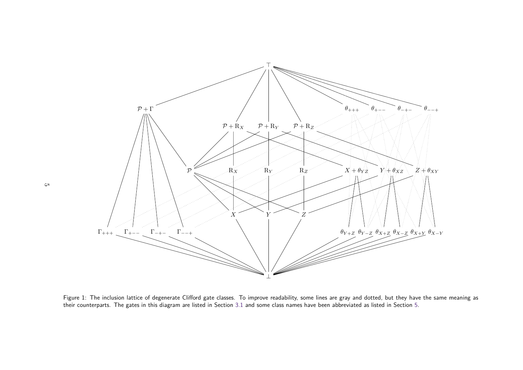

<span id="page-4-0"></span>Figure 1: The inclusion lattice of degenerate Clifford gate classes. To improve readability, some lines are gray and dotted, but they have the same meaning as their counterparts. The gates in this diagram are listed in Section 3.1 and some class names have been abbreviated as listed in Section 5.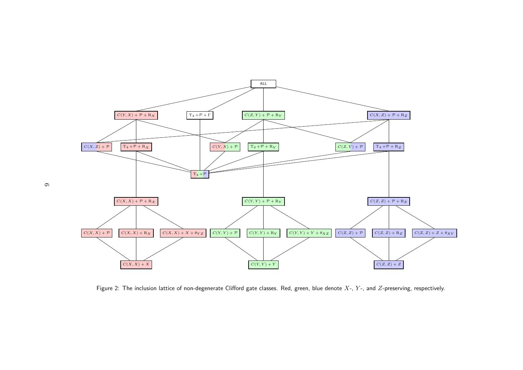<span id="page-5-0"></span>

Figure 2: The inclusion lattice of non-degenerate Clifford gate classes. Red, green, blue denote *<sup>X</sup>*-, *<sup>Y</sup>* -, and *<sup>Z</sup>*-preserving, respectively.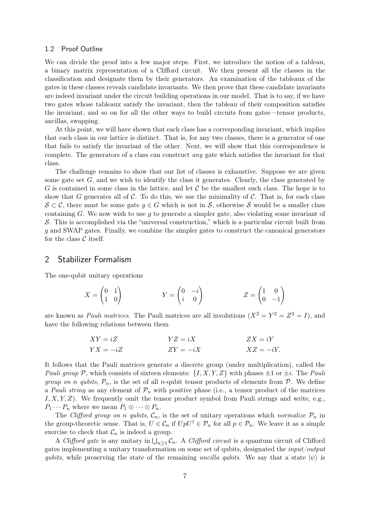#### 1.2 Proof Outline

We can divide the proof into a few major steps. First, we introduce the notion of a tableau, a binary matrix representation of a Clifford circuit. We then present all the classes in the classification and designate them by their generators. An examination of the tableaux of the gates in these classes reveals candidate invariants. We then prove that these candidate invariants are indeed invariant under the circuit building operations in our model. That is to say, if we have two gates whose tableaux satisfy the invariant, then the tableau of their composition satisfies the invariant, and so on for all the other ways to build circuits from gates—tensor products, ancillas, swapping.

At this point, we will have shown that each class has a corresponding invariant, which implies that each class in our lattice is distinct. That is, for any two classes, there is a generator of one that fails to satisfy the invariant of the other. Next, we will show that this correspondence is complete. The generators of a class can construct any gate which satisfies the invariant for that class.

The challenge remains to show that our list of classes is exhaustive. Suppose we are given some gate set *G*, and we wish to identify the class it generates. Clearly, the class generated by *G* is contained in some class in the lattice, and let  $C$  be the smallest such class. The hope is to show that *G* generates all of  $\mathcal{C}$ . To do this, we use the minimality of  $\mathcal{C}$ . That is, for each class  $\mathcal{S} \subset \mathcal{C}$ , there must be some gate  $q \in G$  which is not in  $\mathcal{S}$ , otherwise S would be a smaller class containing *G*. We now wish to use *g* to generate a simpler gate, also violating some invariant of S. This is accomplished via the "universal construction," which is a particular circuit built from *g* and SWAP gates. Finally, we combine the simpler gates to construct the canonical generators for the class  $\mathcal C$  itself.

## 2 Stabilizer Formalism

The one-qubit unitary operations

$$
X = \begin{pmatrix} 0 & 1 \\ 1 & 0 \end{pmatrix} \qquad \qquad Y = \begin{pmatrix} 0 & -i \\ i & 0 \end{pmatrix} \qquad \qquad Z = \begin{pmatrix} 1 & 0 \\ 0 & -1 \end{pmatrix}
$$

are known as *Pauli matrices*. The Pauli matrices are all involutions  $(X^2 = Y^2 = Z^2 = I)$ , and have the following relations between them

$$
XY = iZ
$$
  
\n
$$
YZ = iX
$$
  
\n
$$
ZX = iY
$$
  
\n
$$
ZX = iY
$$
  
\n
$$
XZ = -iY
$$

It follows that the Pauli matrices generate a discrete group (under multiplication), called the Pauli group P, which consists of sixteen elements:  $\{I, X, Y, Z\}$  with phases  $\pm 1$  or  $\pm i$ . The Pauli *group on n qubits*,  $\mathcal{P}_n$ , is the set of all *n*-qubit tensor products of elements from  $\mathcal{P}$ . We define a Pauli string as any element of  $\mathcal{P}_n$  with positive phase (i.e., a tensor product of the matrices *I, X, Y, Z*). We frequently omit the tensor product symbol from Pauli strings and write, e.g.,  $P_1 \cdots P_n$  where we mean  $P_1 \otimes \cdots \otimes P_n$ .

The Clifford group on *n* qubits,  $\mathcal{C}_n$ , is the set of unitary operations which normalize  $\mathcal{P}_n$  in the group-theoretic sense. That is,  $U \in \mathcal{C}_n$  if  $UpU^{\dagger} \in \mathcal{P}_n$  for all  $p \in \mathcal{P}_n$ . We leave it as a simple exercise to check that  $\mathcal{C}_n$  is indeed a group.

A Clifford gate is any unitary in  $\bigcup_{n\geq 1} C_n$ . A Clifford circuit is a quantum circuit of Clifford gates implementing a unitary transformation on some set of qubits, designated the input/output *qubits*, while preserving the state of the remaining ancilla qubits. We say that a state  $|\psi\rangle$  is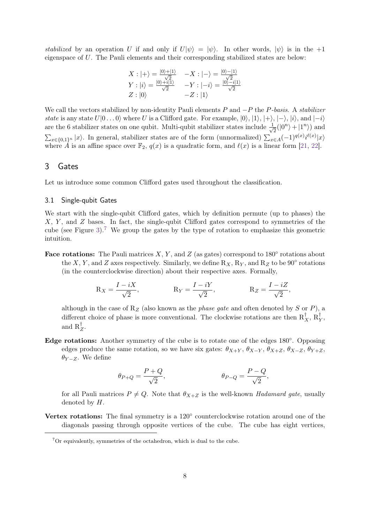stabilized by an operation *U* if and only if  $U|\psi\rangle = |\psi\rangle$ . In other words,  $|\psi\rangle$  is in the +1 eigenspace of *U*. The Pauli elements and their corresponding stabilized states are below:

<span id="page-7-1"></span>
$$
X: |+\rangle = \frac{|0\rangle + |1\rangle}{\sqrt{2}} \quad -X: |-\rangle = \frac{|0\rangle - |1\rangle}{\sqrt{2}}
$$
  
\n
$$
Y: |i\rangle = \frac{|0\rangle + i|1\rangle}{\sqrt{2}} \quad -Y: |-i\rangle = \frac{|0\rangle - i|1\rangle}{\sqrt{2}}
$$
  
\n
$$
Z: |0\rangle \quad -Z: |1\rangle
$$

We call the vectors stabilized by non-identity Pauli elements *P* and −*P* the *P*-basis. A stabilizer state is any state  $U|0...0\rangle$  where *U* is a Clifford gate. For example,  $|0\rangle$ ,  $|1\rangle$ ,  $|+\rangle$ ,  $|-\rangle$ ,  $|i\rangle$ , and  $|-i\rangle$ are the 6 stabilizer states on one qubit. Multi-qubit stabilizer states include  $\frac{1}{\sqrt{2}}$  $\frac{1}{2}(|0^n\rangle + |1^n\rangle)$  and  $\sum_{x \in \{0,1\}^n} |x\rangle$ . In general, stabilizer states are of the form (unnormalized)  $\sum_{x \in A} (-1)^{q(x)} i^{\ell(x)} |x\rangle$ where  $\hat{A}$  is an affine space over  $\mathbb{F}_2$ ,  $q(x)$  is a quadratic form, and  $\ell(x)$  is a linear form [\[21,](#page-37-12) [22\]](#page-37-13).

# <span id="page-7-0"></span>3 Gates

Let us introduce some common Clifford gates used throughout the classification.

## 3.1 Single-qubit Gates

We start with the single-qubit Clifford gates, which by definition permute (up to phases) the *X*, *Y* , and *Z* bases. In fact, the single-qubit Clifford gates correspond to symmetries of the cube (see Figure [3\)](#page-8-0).<sup>[7](#page-7-2)</sup> We group the gates by the type of rotation to emphasize this geometric intuition.

**Face rotations:** The Pauli matrices  $X, Y$ , and  $Z$  (as gates) correspond to 180 $\degree$  rotations about the *X*, *Y*, and *Z* axes respectively. Similarly, we define  $R_X$ ,  $R_Y$ , and  $R_Z$  to be 90° rotations (in the counterclockwise direction) about their respective axes. Formally,

$$
R_X = \frac{I - iX}{\sqrt{2}}, \qquad R_Y = \frac{I - iY}{\sqrt{2}}, \qquad R_Z = \frac{I - iZ}{\sqrt{2}},
$$

although in the case of  $R_Z$  (also known as the *phase gate* and often denoted by *S* or *P*), a different choice of phase is more conventional. The clockwise rotations are then  $R_X^{\dagger}, R_Y^{\dagger}$ *Y* , and  $R_2^{\dagger}$ *Z* .

Edge rotations: Another symmetry of the cube is to rotate one of the edges 180°. Opposing edges produce the same rotation, so we have six gates:  $\theta_{X+Y}$ ,  $\theta_{X-Y}$ ,  $\theta_{X+Z}$ ,  $\theta_{X-Z}$ ,  $\theta_{Y+Z}$ ,  $\theta$ *Y* − *Z*. We define

$$
\theta_{P+Q} = \frac{P+Q}{\sqrt{2}}, \qquad \theta_{P-Q} = \frac{P-Q}{\sqrt{2}},
$$

for all Pauli matrices  $P \neq Q$ . Note that  $\theta_{X+Z}$  is the well-known *Hadamard gate*, usually denoted by *H*.

Vertex rotations: The final symmetry is a 120<sup>°</sup> counterclockwise rotation around one of the diagonals passing through opposite vertices of the cube. The cube has eight vertices,

<span id="page-7-2"></span> ${}^{7}$ Or equivalently, symmetries of the octahedron, which is dual to the cube.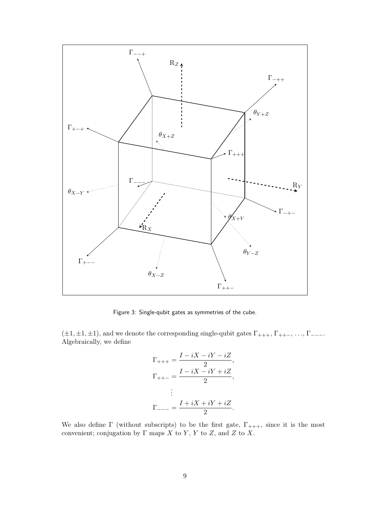<span id="page-8-0"></span>

Figure 3: Single-qubit gates as symmetries of the cube.

( $\pm 1, \pm 1, \pm 1$ ), and we denote the corresponding single-qubit gates  $\Gamma_{+++}$ ,  $\Gamma_{+++}$ ,  $\ldots$ ,  $\Gamma_{---}$ . Algebraically, we define

$$
\Gamma_{+++} = \frac{I - iX - iY - iZ}{2},
$$
\n
$$
\Gamma_{++-} = \frac{I - iX - iY + iZ}{2},
$$
\n
$$
\vdots
$$
\n
$$
\Gamma_{---} = \frac{I + iX + iY + iZ}{2}.
$$

We also define  $\Gamma$  (without subscripts) to be the first gate,  $\Gamma_{+++}$ , since it is the most convenient; conjugation by  $\Gamma$  maps  $X$  to  $Y$ ,  $Y$  to  $Z$ , and  $Z$  to  $X$ .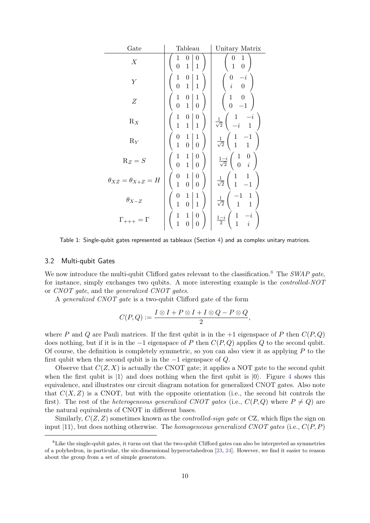| Gate                             | Tableau                                                                                                   | Unitary Matrix                                                                               |
|----------------------------------|-----------------------------------------------------------------------------------------------------------|----------------------------------------------------------------------------------------------|
| X                                | 0<br>0<br>1<br>$\overline{0}$<br>1<br>$\mathbf{1}$                                                        | 1<br>0<br>$\,1\,$<br>$\overline{0}$                                                          |
| Υ                                | $\mathbf{1}$<br>$\mathbf 1$<br>0<br>$\overline{0}$<br>$\mathbf{1}$<br>$\mathbf{1}$                        | $\frac{0}{i}$<br>$\begin{bmatrix} 0 \\ 0 \end{bmatrix}$                                      |
| Ζ                                | $\begin{matrix}1\0\end{matrix}$<br>$\mathbf{1}$<br>$\boldsymbol{0}$<br>$\overline{0}$<br>$1\vert$         | $\begin{matrix} 1 & 0 \\ 0 & -1 \end{matrix}$                                                |
| $R_X$                            | $\frac{1}{1}$<br>$\boldsymbol{0}$<br>$\boldsymbol{0}$<br>$\overline{1}$<br>$\mathbf{1}$                   | $\begin{array}{cc} 1 & -i \\ -i & 1 \end{array}$<br>$\frac{1}{\sqrt{2}}$                     |
| $R_Y$                            | $\begin{matrix}1\0\end{matrix}$<br>$\begin{matrix} 0 \\ 1 \end{matrix}$<br>$\mathbf 1$<br>$\vert 0 \vert$ | $\begin{array}{cc} 1 & -1 \\ 1 & 1 \end{array}$<br>$\frac{1}{\sqrt{2}}$ (                    |
| $R_Z = S$                        | $\mathbf{1}$<br>$\boldsymbol{0}$<br>$\mathbf 1$<br>$\overline{0}$<br>$1\vert$<br>$\overline{0}$           | $rac{1-i}{\sqrt{2}}\begin{pmatrix}1\\0\end{pmatrix}$<br>$\begin{array}{c} 0\\ i \end{array}$ |
| $\theta_{XZ} = \theta_{X+Z} = H$ | $\theta$<br>$\boldsymbol{0}$<br>1<br>$\mathbf{1}$<br>$\overline{0}$<br>$\boldsymbol{0}$                   | $\begin{array}{cc} 1 & 1 \\ 1 & -1 \end{array}$<br>$\frac{1}{\sqrt{2}}$                      |
| $\theta_{X-Z}$                   | $\begin{matrix} 0 \\ 1 \end{matrix}$<br>$\mathbf 1$<br>$\mathbf 1$<br>$\mathbf{1}$<br>$\overline{0}$      | $\begin{array}{c} -1 \\ 1 \end{array}$<br>$\frac{1}{1}$<br>$\frac{1}{\sqrt{2}}$              |
| $\Gamma_{+++} = \Gamma$          | $\boldsymbol{0}$<br>$\frac{1}{1}$<br>$\mathbf{1}$<br>$\boldsymbol{0}$<br>$\overline{0}$                   | $\begin{array}{cc} 1 & -i \\ 1 & i \end{array}$<br>$\frac{1-i}{2}$                           |

Table 1: Single-qubit gates represented as tableaux (Section [4\)](#page-10-0) and as complex unitary matrices.

#### 3.2 Multi-qubit Gates

We now introduce the multi-qubit Clifford gates relevant to the classification.<sup>[8](#page-9-0)</sup> The SWAP gate, for instance, simply exchanges two qubits. A more interesting example is the controlled-NOT or CNOT gate, and the generalized CNOT gates.

A generalized CNOT gate is a two-qubit Clifford gate of the form

$$
C(P,Q) := \frac{I \otimes I + P \otimes I + I \otimes Q - P \otimes Q}{2},
$$

where *P* and *Q* are Pauli matrices. If the first qubit is in the  $+1$  eigenspace of *P* then  $C(P,Q)$ does nothing, but if it is in the −1 eigenspace of *P* then *C*(*P, Q*) applies *Q* to the second qubit. Of course, the definition is completely symmetric, so you can also view it as applying *P* to the first qubit when the second qubit is in the −1 eigenspace of *Q*.

Observe that  $C(Z, X)$  is actually the CNOT gate; it applies a NOT gate to the second qubit when the first qubit is  $|1\rangle$  and does nothing when the first qubit is  $|0\rangle$ . Figure [4](#page-10-1) shows this equivalence, and illustrates our circuit diagram notation for generalized CNOT gates. Also note that  $C(X, Z)$  is a CNOT, but with the opposite orientation (i.e., the second bit controls the first). The rest of the *heterogeneous generalized CNOT gates* (i.e.,  $C(P,Q)$  where  $P \neq Q$ ) are the natural equivalents of CNOT in different bases.

Similarly,  $C(Z, Z)$  sometimes known as the *controlled-sign gate* or CZ, which flips the sign on input  $|11\rangle$ , but does nothing otherwise. The *homogeneous generalized CNOT gates* (i.e.,  $C(P, P)$ )

<span id="page-9-0"></span><sup>8</sup>Like the single-qubit gates, it turns out that the two-qubit Clifford gates can also be interpreted as symmetries of a polyhedron, in particular, the six-dimensional hyperoctahedron [\[23,](#page-37-14) [24\]](#page-37-15). However, we find it easier to reason about the group from a set of simple generators.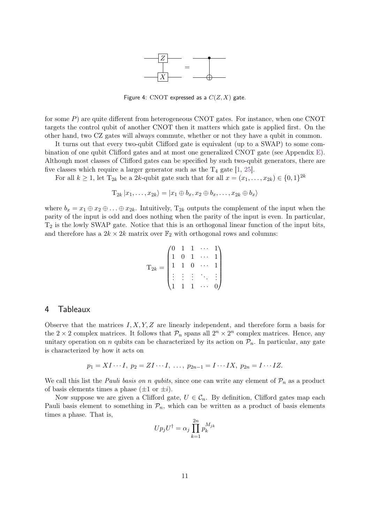

Figure 4: CNOT expressed as a *C*(*Z, X*) gate.

<span id="page-10-1"></span>for some *P*) are quite different from heterogeneous CNOT gates. For instance, when one CNOT targets the control qubit of another CNOT then it matters which gate is applied first. On the other hand, two CZ gates will always commute, whether or not they have a qubit in common.

It turns out that every two-qubit Clifford gate is equivalent (up to a SWAP) to some combination of one qubit Clifford gates and at most one generalized CNOT gate (see Appendix [E\)](#page-43-0). Although most classes of Clifford gates can be specified by such two-qubit generators, there are five classes which require a larger generator such as the  $T_4$  gate [\[1,](#page-36-0) [25\]](#page-37-16).

For all  $k \geq 1$ , let  $T_{2k}$  be a 2*k*-qubit gate such that for all  $x = (x_1, \ldots, x_{2k}) \in \{0, 1\}^{2k}$ 

$$
T_{2k} | x_1, \ldots, x_{2k} \rangle = | x_1 \oplus b_x, x_2 \oplus b_x, \ldots, x_{2k} \oplus b_x \rangle
$$

where  $b_x = x_1 \oplus x_2 \oplus \ldots \oplus x_{2k}$ . Intuitively,  $T_{2k}$  outputs the complement of the input when the parity of the input is odd and does nothing when the parity of the input is even. In particular,  $T_2$  is the lowly SWAP gate. Notice that this is an orthogonal linear function of the input bits, and therefore has a  $2k \times 2k$  matrix over  $\mathbb{F}_2$  with orthogonal rows and columns:

$$
\mathbf{T}_{2k} = \begin{pmatrix} 0 & 1 & 1 & \cdots & 1 \\ 1 & 0 & 1 & \cdots & 1 \\ 1 & 1 & 0 & \cdots & 1 \\ \vdots & \vdots & \vdots & \ddots & \vdots \\ 1 & 1 & 1 & \cdots & 0 \end{pmatrix}
$$

## <span id="page-10-0"></span>4 Tableaux

Observe that the matrices *I, X, Y, Z* are linearly independent, and therefore form a basis for the  $2 \times 2$  complex matrices. It follows that  $\mathcal{P}_n$  spans all  $2^n \times 2^n$  complex matrices. Hence, any unitary operation on *n* qubits can be characterized by its action on  $\mathcal{P}_n$ . In particular, any gate is characterized by how it acts on

$$
p_1 = XI \cdots I
$$
,  $p_2 = ZI \cdots I$ , ...,  $p_{2n-1} = I \cdots IX$ ,  $p_{2n} = I \cdots IZ$ .

We call this list the *Pauli basis on n qubits*, since one can write any element of  $\mathcal{P}_n$  as a product of basis elements times a phase  $(\pm 1 \text{ or } \pm i)$ .

Now suppose we are given a Clifford gate,  $U \in \mathcal{C}_n$ . By definition, Clifford gates map each Pauli basis element to something in  $\mathcal{P}_n$ , which can be written as a product of basis elements times a phase. That is,

$$
Up_jU^{\dagger} = \alpha_j \prod_{k=1}^{2n} p_k^{M_{jk}}
$$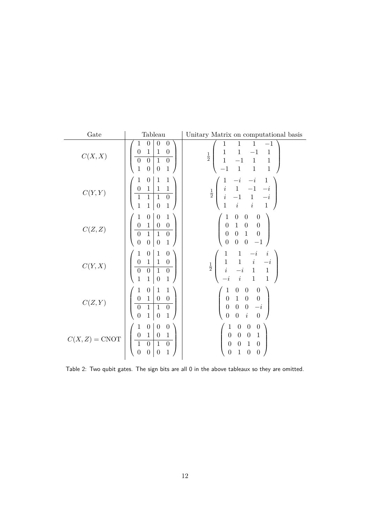<span id="page-11-0"></span>

| Gate                   | Tableau                                                                                                                                                                                                                                                                             | Unitary Matrix on computational basis                                                                                                                                                                                                                                                                 |
|------------------------|-------------------------------------------------------------------------------------------------------------------------------------------------------------------------------------------------------------------------------------------------------------------------------------|-------------------------------------------------------------------------------------------------------------------------------------------------------------------------------------------------------------------------------------------------------------------------------------------------------|
| C(X,X)                 | $\boldsymbol{0}$<br>$\boldsymbol{0}$<br>$\boldsymbol{0}$<br>1<br>$\mathbf{1}$<br>$\mathbf{1}$<br>$\boldsymbol{0}$<br>$\boldsymbol{0}$<br>$\boldsymbol{0}$<br>$\boldsymbol{0}$<br>$\boldsymbol{0}$<br>$\mathbf{1}$<br>$\,1$<br>$\mathbf{1}$<br>$\boldsymbol{0}$<br>$\boldsymbol{0}$  | $\,1\,$<br>$\mathbf{1}$<br>1<br>$^{-1}$<br>$\,1$<br>$\mathbf{1}$<br>$\mathbf{1}$<br>$-1$<br>$\frac{1}{2}$<br>$\,1$<br>$-1$<br>$\mathbf{1}$<br>$\mathbf{1}$<br>$\,1\,$<br>$\,1\,$<br>$-1$<br>$\mathbf{1}$                                                                                              |
| C(Y,Y)                 | $\boldsymbol{0}$<br>$\mathbf{1}$<br>$\mathbf 1$<br>1<br>$\,1$<br>$\boldsymbol{0}$<br>$\mathbf 1$<br>$\,1$<br>$\overline{1}$<br>$\mathbf{1}$<br>$\,1\,$<br>$\boldsymbol{0}$<br>$\mathbf 1$<br>$\mathbf{1}$<br>$\mathbf{1}$<br>$\boldsymbol{0}$                                       | $\mathbf 1$<br>1<br>$-i$<br>$-i$<br>$\begin{array}{cccc} i & 1 & -1 & -i \\ i & -1 & 1 & -i \\ 1 & i & i & 1 \end{array}$<br>$\frac{1}{2}$                                                                                                                                                            |
| C(Z,Z)                 | $\,1$<br>$\boldsymbol{0}$<br>$\boldsymbol{0}$<br>1<br>$\mathbf 1$<br>$\boldsymbol{0}$<br>$\boldsymbol{0}$<br>$\boldsymbol{0}$<br>$\overline{0}$<br>$\mathbf{1}$<br>$\mathbf{1}$<br>$\boldsymbol{0}$<br>$\overline{0}$<br>$\boldsymbol{0}$<br>$\mathbf{1}$<br>$\boldsymbol{0}$       | $\boldsymbol{0}$<br>$\boldsymbol{0}$<br>$\boldsymbol{0}$<br>1<br>$\begin{array}{cc} 1 & 0 \\ 0 & 1 \end{array}$<br>$\begin{matrix}0\\0\end{matrix}$<br>$\begin{array}{c} 0 \\ 0 \end{array}$<br>$\overline{0}$<br>$\boldsymbol{0}$<br>$\boldsymbol{0}$<br>$-1$                                        |
| C(Y, X)                | $\boldsymbol{0}$<br>$\mathbf 1$<br>$\boldsymbol{0}$<br>1<br>$\boldsymbol{0}$<br>$\mathbf{1}$<br>$\boldsymbol{0}$<br>$\mathbf{1}$<br>$\overline{0}$<br>$\overline{1}$<br>$\overline{0}$<br>$\overline{0}$<br>$\mathbf 1$<br>$\,1$<br>$\mathbf 1$<br>$\boldsymbol{0}$                 | $\mathbf{1}$<br>1<br>$\dot{\imath}$<br>$\begin{array}{ccccccccc}\n1 & 1 & i & -i \\ i & -i & 1 & 1 \\ -i & i & 1 & 1\n\end{array}$<br>$\frac{1}{2}$                                                                                                                                                   |
| C(Z,Y)                 | $\boldsymbol{0}$<br>$\,1$<br>$\,1$<br>1<br>$\boldsymbol{0}$<br>$\mathbf 1$<br>$\boldsymbol{0}$<br>$\boldsymbol{0}$<br>$\overline{1}$<br>$\mathbf{1}$<br>$\boldsymbol{0}$<br>$\boldsymbol{0}$<br>$\boldsymbol{0}$<br>$\mathbf{1}$<br>$\mathbf{1}$<br>$\boldsymbol{0}$                | $\begin{array}{ccc} 0 & 0 \\ 1 & 0 \\ 0 & 0 \\ \end{array}$<br>$\boldsymbol{0}$<br>$\mathbf{1}$<br>$\boldsymbol{0}$<br>$\boldsymbol{0}$<br>$\overline{0}$<br>$-\boldsymbol{i}$<br>$\overline{0}$<br>$\boldsymbol{i}$<br>$\boldsymbol{0}$<br>$\boldsymbol{0}$                                          |
| $C(X,Z) = \text{CNOT}$ | $\mathbf 1$<br>$\boldsymbol{0}$<br>$\boldsymbol{0}$<br>$\boldsymbol{0}$<br>$\boldsymbol{0}$<br>$\!1\!$<br>$\,1$<br>$\boldsymbol{0}$<br>$\overline{1}$<br>$\overline{0}$<br>$\overline{0}$<br>$\mathbf{1}$<br>$\overline{0}$<br>$\mathbf{1}$<br>$\boldsymbol{0}$<br>$\boldsymbol{0}$ | $\boldsymbol{0}$<br>$\boldsymbol{0}$<br>$\boldsymbol{0}$<br>$\mathbf{1}$<br>$\boldsymbol{0}$<br>$\boldsymbol{0}$<br>$\,1\,$<br>$\boldsymbol{0}$<br>$\boldsymbol{0}$<br>$\boldsymbol{0}$<br>$\mathbf{1}$<br>$\boldsymbol{0}$<br>$\overline{0}$<br>$\boldsymbol{0}$<br>$\mathbf{1}$<br>$\boldsymbol{0}$ |

Table 2: Two qubit gates. The sign bits are all 0 in the above tableaux so they are omitted.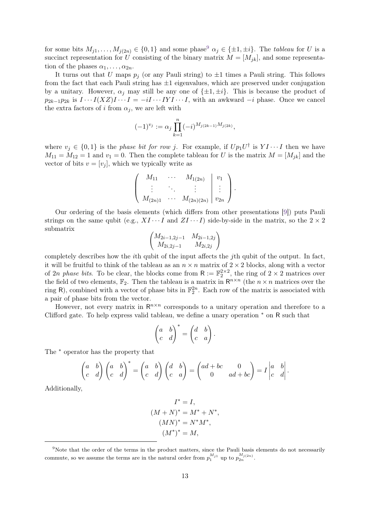for some bits  $M_{j1}, \ldots, M_{j(2n)} \in \{0, 1\}$  and some phase<sup>[9](#page-12-0)</sup>  $\alpha_j \in \{\pm 1, \pm i\}$ . The *tableau* for *U* is a succinct representation for *U* consisting of the binary matrix  $M = [M_{ik}]$ , and some representation of the phases  $\alpha_1, \ldots, \alpha_{2n}$ .

It turns out that *U* maps  $p_j$  (or any Pauli string) to  $\pm 1$  times a Pauli string. This follows from the fact that each Pauli string has  $\pm 1$  eigenvalues, which are preserved under conjugation by a unitary. However,  $\alpha_j$  may still be any one of  $\{\pm 1, \pm i\}$ . This is because the product of  $p_{2k-1}p_{2k}$  is  $I \cdots I(XZ)I \cdots I = -iI \cdots IYI \cdots I$ , with an awkward  $-i$  phase. Once we cancel the extra factors of *i* from  $\alpha_j$ , we are left with

$$
(-1)^{v_j} := \alpha_j \prod_{k=1}^n (-i)^{M_{j(2k-1)}M_{j(2k)}},
$$

where  $v_j \in \{0,1\}$  is the *phase bit for row j*. For example, if  $Up_1U^{\dagger}$  is  $YI \cdots I$  then we have  $M_{11} = M_{12} = 1$  and  $v_1 = 0$ . Then the complete tableau for *U* is the matrix  $M = [M_{jk}]$  and the vector of bits  $v = [v_j]$ , which we typically write as

$$
\left(\begin{array}{ccc|c} M_{11} & \cdots & M_{1(2n)} & v_1 \\ \vdots & \ddots & \vdots & \vdots \\ M_{(2n)1} & \cdots & M_{(2n)(2n)} & v_{2n} \end{array}\right).
$$

Our ordering of the basis elements (which differs from other presentations [\[9\]](#page-37-1)) puts Pauli strings on the same qubit (e.g.,  $XI \cdots I$  and  $ZI \cdots I$ ) side-by-side in the matrix, so the  $2 \times 2$ submatrix

$$
\begin{pmatrix}\nM_{2i-1,2j-1} & M_{2i-1,2j} \\
M_{2i,2j-1} & M_{2i,2j}\n\end{pmatrix}
$$

completely describes how the *i*th qubit of the input affects the *j*th qubit of the output. In fact, it will be fruitful to think of the tableau as an  $n \times n$  matrix of  $2 \times 2$  blocks, along with a vector of 2*n* phase bits. To be clear, the blocks come from  $R := \mathbb{F}_2^{2 \times 2}$ , the ring of  $2 \times 2$  matrices over the field of two elements,  $\mathbb{F}_2$ . Then the tableau is a matrix in  $\mathbb{R}^{n \times n}$  (the  $n \times n$  matrices over the ring R), combined with a vector of phase bits in  $\mathbb{F}_2^{2n}$ . Each row of the matrix is associated with a pair of phase bits from the vector.

However, not every matrix in  $\mathbb{R}^{n \times n}$  corresponds to a unitary operation and therefore to a Clifford gate. To help express valid tableau, we define a unary operation <sup>∗</sup> on R such that

$$
\begin{pmatrix} a & b \\ c & d \end{pmatrix}^* = \begin{pmatrix} d & b \\ c & a \end{pmatrix}.
$$

The  $*$  operator has the property that

$$
\begin{pmatrix} a & b \\ c & d \end{pmatrix} \begin{pmatrix} a & b \\ c & d \end{pmatrix}^* = \begin{pmatrix} a & b \\ c & d \end{pmatrix} \begin{pmatrix} d & b \\ c & a \end{pmatrix} = \begin{pmatrix} ad + bc & 0 \\ 0 & ad + bc \end{pmatrix} = I \begin{pmatrix} a & b \\ c & d \end{pmatrix}.
$$

Additionally,

$$
I^* = I,
$$
  
\n
$$
(M + N)^* = M^* + N^*,
$$
  
\n
$$
(MN)^* = N^*M^*,
$$
  
\n
$$
(M^*)^* = M,
$$

<span id="page-12-0"></span><sup>&</sup>lt;sup>9</sup>Note that the order of the terms in the product matters, since the Pauli basis elements do not necessarily commute, so we assume the terms are in the natural order from  $p_1^{M_{j1}}$  up to  $p_{2n}^{M_{j(2n)}}$ .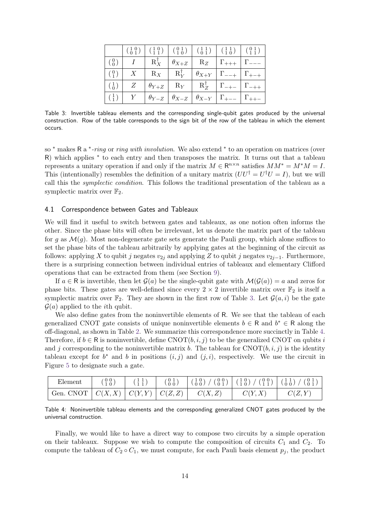<span id="page-13-0"></span>

| $\left( \begin{array}{c} 1 \\ 1 \end{array} \right)$ |  |  | $\begin{array}{c c c c c c c c} Y & \theta_{Y-Z} & \theta_{X-Z} & \theta_{X-Y} & \Gamma_{+-} & \Gamma_{++-} \end{array}$ |  |
|------------------------------------------------------|--|--|--------------------------------------------------------------------------------------------------------------------------|--|

Table 3: Invertible tableau elements and the corresponding single-qubit gates produced by the universal construction. Row of the table corresponds to the sign bit of the row of the tableau in which the element occurs.

so \* makes R a \*-ring or ring with involution. We also extend \* to an operation on matrices (over R) which applies \* to each entry and then transposes the matrix. It turns out that a tableau represents a unitary operation if and only if the matrix  $M \in \mathbb{R}^{n \times n}$  satisfies  $MM^* = M^*M = I$ . This (intentionally) resembles the definition of a unitary matrix  $(UU^{\dagger} = U^{\dagger}U = I)$ , but we will call this the symplectic condition. This follows the traditional presentation of the tableau as a symplectic matrix over  $\mathbb{F}_2$ .

#### 4.1 Correspondence between Gates and Tableaux

We will find it useful to switch between gates and tableaux, as one notion often informs the other. Since the phase bits will often be irrelevant, let us denote the matrix part of the tableau for *g* as  $\mathcal{M}(g)$ . Most non-degenerate gate sets generate the Pauli group, which alone suffices to set the phase bits of the tableau arbitrarily by applying gates at the beginning of the circuit as follows: applying *X* to qubit *j* negates  $v_{2j}$  and applying *Z* to qubit *j* negates  $v_{2j-1}$ . Furthermore, there is a surprising connection between individual entries of tableaux and elementary Clifford operations that can be extracted from them (see Section [9\)](#page-27-0).

If  $a \in \mathbb{R}$  is invertible, then let  $\mathcal{G}(a)$  be the single-qubit gate with  $\mathcal{M}(\mathcal{G}(a)) = a$  and zeros for phase bits. These gates are well-defined since every  $2 \times 2$  invertible matrix over  $\mathbb{F}_2$  is itself a symplectic matrix over  $\mathbb{F}_2$ . They are shown in the first row of Table [3.](#page-13-0) Let  $\mathcal{G}(a, i)$  be the gate  $\mathcal{G}(a)$  applied to the *i*th qubit.

We also define gates from the noninvertible elements of R. We see that the tableau of each generalized CNOT gate consists of unique noninvertible elements  $b \in \mathsf{R}$  and  $b^* \in \mathsf{R}$  along the off-diagonal, as shown in Table [2.](#page-11-0) We summarize this correspondence more succinctly in Table [4.](#page-13-1) Therefore, if  $b \in \mathsf{R}$  is noninvertible, define  $CNOT(b, i, j)$  to be the generalized CNOT on qubits *i* and *j* corresponding to the noninvertible matrix *b*. The tableau for  $CNOT(b, i, j)$  is the identity tableau except for  $b^*$  and  $b$  in positions  $(i, j)$  and  $(j, i)$ , respectively. We use the circuit in Figure [5](#page-14-2) to designate such a gate.

<span id="page-13-1"></span>

| Element   | $\begin{smallmatrix} 0 & 0 \\ 1 & 0 \end{smallmatrix}$ | $(\frac{1}{1} \frac{1}{1})$ | $\begin{smallmatrix} 0 & 1 \\ 0 & 0 \end{smallmatrix}$ | $'$ $(\begin{smallmatrix} 0 & 0 \\ 0 & 1 \end{smallmatrix})$<br>$(\begin{smallmatrix} 1 & 0 \\ 0 & 0 \end{smallmatrix})$ / | $\left( \begin{array}{c} 1 & 0 \\ 1 & 0 \end{array} \right) / \left( \begin{array}{c} 0 & 0 \\ 1 & 1 \end{array} \right) \left( \begin{array}{c} 1 & 1 \\ 0 & 0 \end{array} \right) /$ | $\frac{7}{0}$ $\frac{0}{1}$ |
|-----------|--------------------------------------------------------|-----------------------------|--------------------------------------------------------|----------------------------------------------------------------------------------------------------------------------------|----------------------------------------------------------------------------------------------------------------------------------------------------------------------------------------|-----------------------------|
| Gen. CNOT | $\mid C(X,X) \mid C(Y,Y) \mid C(Z,Z)$                  |                             |                                                        | C(X,Z)                                                                                                                     | C(Y, X)                                                                                                                                                                                | C(Z, Y)                     |

Table 4: Noninvertible tableau elements and the corresponding generalized CNOT gates produced by the universal construction.

Finally, we would like to have a direct way to compose two circuits by a simple operation on their tableaux. Suppose we wish to compute the composition of circuits  $C_1$  and  $C_2$ . To compute the tableau of  $C_2 \circ C_1$ , we must compute, for each Pauli basis element  $p_j$ , the product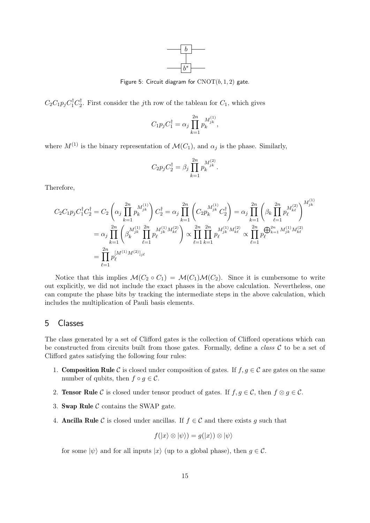<span id="page-14-1"></span>

Figure 5: Circuit diagram for  $CNOT(b, 1, 2)$  gate.

<span id="page-14-2"></span> $C_2C_1p_jC_1^{\dagger}C_2^{\dagger}$ <sup> $\binom{1}{2}$ </sup>. First consider the *j*th row of the tableau for  $C_1$ , which gives

$$
C_1 p_j C_1^{\dagger} = \alpha_j \prod_{k=1}^{2n} p_k^{M_{jk}^{(1)}},
$$

where  $M^{(1)}$  is the binary representation of  $\mathcal{M}(C_1)$ , and  $\alpha_j$  is the phase. Similarly,

$$
C_2 p_j C_2^{\dagger} = \beta_j \prod_{k=1}^{2n} p_k^{M_{jk}^{(2)}}.
$$

Therefore,

$$
C_2 C_1 p_j C_1^{\dagger} C_2^{\dagger} = C_2 \left( \alpha_j \prod_{k=1}^{2n} p_k^{M_{jk}^{(1)}} \right) C_2^{\dagger} = \alpha_j \prod_{k=1}^{2n} \left( C_2 p_k^{M_{jk}^{(1)}} C_2^{\dagger} \right) = \alpha_j \prod_{k=1}^{2n} \left( \beta_k \prod_{\ell=1}^{2n} p_\ell^{M_{k\ell}^{(2)}} \right)^{M_{jk}^{(1)}}
$$
  
\n
$$
= \alpha_j \prod_{k=1}^{2n} \left( \beta_k^{M_{jk}^{(1)}} \prod_{\ell=1}^{2n} p_\ell^{M_{jk}^{(1)} M_{k\ell}^{(2)}} \right) \propto \prod_{\ell=1}^{2n} \prod_{k=1}^{2n} p_\ell^{M_{jk}^{(1)} M_{k\ell}^{(2)}} \propto \prod_{\ell=1}^{2n} p_\ell^{\bigoplus_{k=1}^{2n} M_{jk}^{(1)} M_{k\ell}^{(2)}}
$$
  
\n
$$
= \prod_{\ell=1}^{2n} p_\ell^{[M^{(1)} M^{(2)}]_{j\ell}}
$$

Notice that this implies  $\mathcal{M}(C_2 \circ C_1) = \mathcal{M}(C_1)\mathcal{M}(C_2)$ . Since it is cumbersome to write out explicitly, we did not include the exact phases in the above calculation. Nevertheless, one can compute the phase bits by tracking the intermediate steps in the above calculation, which includes the multiplication of Pauli basis elements.

## <span id="page-14-0"></span>5 Classes

The class generated by a set of Clifford gates is the collection of Clifford operations which can be constructed from circuits built from those gates. Formally, define a *class*  $C$  to be a set of Clifford gates satisfying the following four rules:

- 1. **Composition Rule** C is closed under composition of gates. If  $f, g \in \mathcal{C}$  are gates on the same number of qubits, then  $f \circ g \in \mathcal{C}$ .
- 2. **Tensor Rule** C is closed under tensor product of gates. If  $f, g \in C$ , then  $f \otimes g \in C$ .
- 3. Swap Rule  $\mathcal C$  contains the SWAP gate.
- 4. **Ancilla Rule** C is closed under ancillas. If  $f \in \mathcal{C}$  and there exists g such that

$$
f(|x\rangle \otimes |\psi\rangle) = g(|x\rangle) \otimes |\psi\rangle
$$

for some  $|\psi\rangle$  and for all inputs  $|x\rangle$  (up to a global phase), then  $g \in \mathcal{C}$ .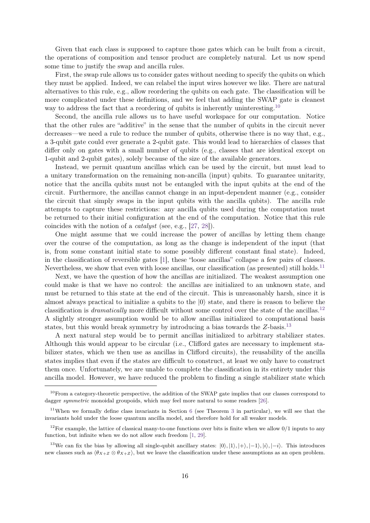Given that each class is supposed to capture those gates which can be built from a circuit, the operations of composition and tensor product are completely natural. Let us now spend some time to justify the swap and ancilla rules.

First, the swap rule allows us to consider gates without needing to specify the qubits on which they must be applied. Indeed, we can relabel the input wires however we like. There are natural alternatives to this rule, e.g., allow reordering the qubits on each gate. The classification will be more complicated under these definitions, and we feel that adding the SWAP gate is cleanest way to address the fact that a reordering of qubits is inherently uninteresting.<sup>[10](#page-15-0)</sup>

Second, the ancilla rule allows us to have useful workspace for our computation. Notice that the other rules are "additive" in the sense that the number of qubits in the circuit never decreases—we need a rule to reduce the number of qubits, otherwise there is no way that, e.g., a 3-qubit gate could ever generate a 2-qubit gate. This would lead to hierarchies of classes that differ only on gates with a small number of qubits (e.g., classes that are identical except on 1-qubit and 2-qubit gates), solely because of the size of the available generators.

Instead, we permit quantum ancillas which can be used by the circuit, but must lead to a unitary transformation on the remaining non-ancilla (input) qubits. To guarantee unitarity, notice that the ancilla qubits must not be entangled with the input qubits at the end of the circuit. Furthermore, the ancillas cannot change in an input-dependent manner (e.g., consider the circuit that simply swaps in the input qubits with the ancilla qubits). The ancilla rule attempts to capture these restrictions: any ancilla qubits used during the computation must be returned to their initial configuration at the end of the computation. Notice that this rule coincides with the notion of a catalyst (see, e.g., [\[27,](#page-37-17) [28\]](#page-37-18)).

One might assume that we could increase the power of ancillas by letting them change over the course of the computation, as long as the change is independent of the input (that is, from some constant initial state to some possibly different constant final state). Indeed, in the classification of reversible gates [\[1\]](#page-36-0), these "loose ancillas" collapse a few pairs of classes. Nevertheless, we show that even with loose ancillas, our classification (as presented) still holds.<sup>[11](#page-15-1)</sup>

Next, we have the question of how the ancillas are initialized. The weakest assumption one could make is that we have no control: the ancillas are initialized to an unknown state, and must be returned to this state at the end of the circuit. This is unreasonably harsh, since it is almost always practical to initialize a qubits to the  $|0\rangle$  state, and there is reason to believe the classification is *dramatically* more difficult without some control over the state of the ancillas.<sup>[12](#page-15-2)</sup> A slightly stronger assumption would be to allow ancillas initialized to computational basis states, but this would break symmetry by introducing a bias towards the *Z*-basis.[13](#page-15-3)

A next natural step would be to permit ancillas initialized to arbitrary stabilizer states. Although this would appear to be circular (i.e., Clifford gates are necessary to implement stabilizer states, which we then use as ancillas in Clifford circuits), the reusability of the ancilla states implies that even if the states are difficult to construct, at least we only have to construct them once. Unfortunately, we are unable to complete the classification in its entirety under this ancilla model. However, we have reduced the problem to finding a single stabilizer state which

<span id="page-15-0"></span><sup>&</sup>lt;sup>10</sup>From a category-theoretic perspective, the addition of the SWAP gate implies that our classes correspond to dagger *symmetric* monoidal groupoids, which may feel more natural to some readers [\[26\]](#page-37-19).

<span id="page-15-1"></span><sup>&</sup>lt;sup>11</sup>When we formally define class invariants in Section  $6$  (see Theorem [3](#page-18-0) in particular), we will see that the invariants hold under the loose quantum ancilla model, and therefore hold for all weaker models.

<span id="page-15-2"></span> $12$ For example, the lattice of classical many-to-one functions over bits is finite when we allow  $0/1$  inputs to any function, but infinite when we do not allow such freedom [\[1,](#page-36-0) [29\]](#page-37-20).

<span id="page-15-3"></span><sup>&</sup>lt;sup>13</sup>We can fix the bias by allowing all single-qubit ancillary states:  $|0\rangle, |1\rangle, |+\rangle, |-1\rangle, |i\rangle, |-i\rangle$ . This introduces new classes such as  $\langle \theta_{X+Z} \otimes \theta_{X+Z} \rangle$ , but we leave the classification under these assumptions as an open problem.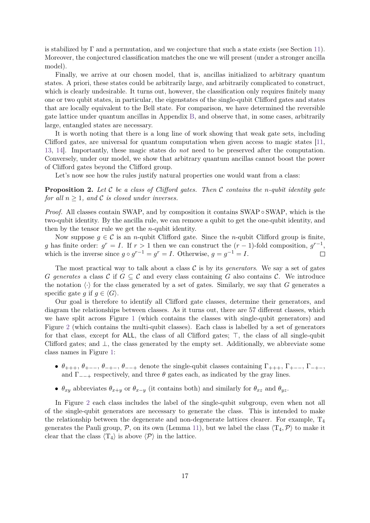is stabilized by  $\Gamma$  and a permutation, and we conjecture that such a state exists (see Section [11\)](#page-35-0). Moreover, the conjectured classification matches the one we will present (under a stronger ancilla model).

Finally, we arrive at our chosen model, that is, ancillas initialized to arbitrary quantum states. A priori, these states could be arbitrarily large, and arbitrarily complicated to construct, which is clearly undesirable. It turns out, however, the classification only requires finitely many one or two qubit states, in particular, the eigenstates of the single-qubit Clifford gates and states that are locally equivalent to the Bell state. For comparison, we have determined the reversible gate lattice under quantum ancillas in Appendix [B,](#page-40-0) and observe that, in some cases, arbitrarily large, entangled states are necessary.

It is worth noting that there is a long line of work showing that weak gate sets, including Clifford gates, are universal for quantum computation when given access to magic states [\[11,](#page-37-3) [13,](#page-37-5) [14\]](#page-37-6). Importantly, these magic states do not need to be preserved after the computation. Conversely, under our model, we show that arbitrary quantum ancillas cannot boost the power of Clifford gates beyond the Clifford group.

Let's now see how the rules justify natural properties one would want from a class:

**Proposition 2.** *Let* C *be a class of Clifford gates. Then* C *contains the n-qubit identity gate for all*  $n \geq 1$ *, and* C *is closed under inverses.* 

*Proof.* All classes contain SWAP, and by composition it contains SWAP ∘ SWAP, which is the two-qubit identity. By the ancilla rule, we can remove a qubit to get the one-qubit identity, and then by the tensor rule we get the *n*-qubit identity.

Now suppose  $q \in \mathcal{C}$  is an *n*-qubit Clifford gate. Since the *n*-qubit Clifford group is finite, *g* has finite order:  $g^r = I$ . If  $r > 1$  then we can construct the  $(r - 1)$ -fold composition,  $g^{r-1}$ , which is the inverse since  $g \circ g^{r-1} = g^r = I$ . Otherwise,  $g = g^{-1} = I$ .  $\Box$ 

The most practical way to talk about a class  $\mathcal C$  is by its *generators*. We say a set of gates *G* generates a class C if  $G \subseteq \mathcal{C}$  and every class containing G also contains C. We introduce the notation  $\langle \cdot \rangle$  for the class generated by a set of gates. Similarly, we say that *G* generates a specific gate *g* if  $g \in \langle G \rangle$ .

Our goal is therefore to identify all Clifford gate classes, determine their generators, and diagram the relationships between classes. As it turns out, there are 57 different classes, which we have split across Figure [1](#page-4-0) (which contains the classes with single-qubit generators) and Figure [2](#page-5-0) (which contains the multi-qubit classes). Each class is labelled by a set of generators for that class, except for  $ALL$ , the class of all Clifford gates;  $\top$ , the class of all single-qubit Clifford gates; and ⊥, the class generated by the empty set. Additionally, we abbreviate some class names in Figure [1:](#page-4-0)

- $\theta_{+++}$ ,  $\theta_{+--}$ ,  $\theta_{-+-}$ ,  $\theta_{--+}$  denote the single-qubit classes containing  $\Gamma_{+++}$ ,  $\Gamma_{+--}$ ,  $\Gamma_{-+-}$ , and  $\Gamma_{-+}$  respectively, and three  $\theta$  gates each, as indicated by the gray lines.
- $\theta_{xy}$  abbreviates  $\theta_{x+y}$  or  $\theta_{x-y}$  (it contains both) and similarly for  $\theta_{xz}$  and  $\theta_{yz}$ .

In Figure [2](#page-5-0) each class includes the label of the single-qubit subgroup, even when not all of the single-qubit generators are necessary to generate the class. This is intended to make the relationship between the degenerate and non-degenerate lattices clearer. For example,  $T_4$ generates the Pauli group,  $P$ , on its own (Lemma [11\)](#page-26-0), but we label the class  $\langle T_4, P \rangle$  to make it clear that the class  $\langle T_4 \rangle$  is above  $\langle \mathcal{P} \rangle$  in the lattice.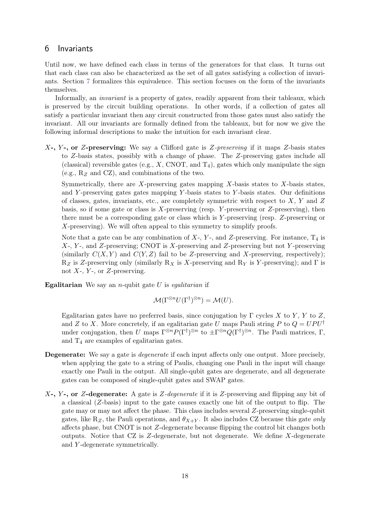# <span id="page-17-0"></span>6 Invariants

Until now, we have defined each class in terms of the generators for that class. It turns out that each class can also be characterized as the set of all gates satisfying a collection of invariants. Section [7](#page-23-0) formalizes this equivalence. This section focuses on the form of the invariants themselves.

Informally, an invariant is a property of gates, readily apparent from their tableaux, which is preserved by the circuit building operations. In other words, if a collection of gates all satisfy a particular invariant then any circuit constructed from those gates must also satisfy the invariant. All our invariants are formally defined from the tableaux, but for now we give the following informal descriptions to make the intuition for each invariant clear.

*X***-,** *Y* **-, or** *Z***-preserving:** We say a Clifford gate is *Z*-preserving if it maps *Z*-basis states to *Z*-basis states, possibly with a change of phase. The *Z*-preserving gates include all (classical) reversible gates (e.g.,  $X$ , CNOT, and  $T_4$ ), gates which only manipulate the sign (e.g., R*<sup>Z</sup>* and CZ), and combinations of the two.

Symmetrically, there are *X*-preserving gates mapping *X*-basis states to *X*-basis states, and *Y* -preserving gates gates mapping *Y* -basis states to *Y* -basis states. Our definitions of classes, gates, invariants, etc., are completely symmetric with respect to *X*, *Y* and *Z* basis, so if some gate or class is *X*-preserving (resp. *Y* -preserving or *Z*-preserving), then there must be a corresponding gate or class which is *Y* -preserving (resp. *Z*-preserving or *X*-preserving). We will often appeal to this symmetry to simplify proofs.

Note that a gate can be any combination of  $X$ -,  $Y$ -, and  $Z$ -preserving. For instance,  $T_4$  is *X*-, *Y* -, and *Z*-preserving; CNOT is *X*-preserving and *Z*-preserving but not *Y* -preserving (similarly  $C(X, Y)$  and  $C(Y, Z)$  fail to be *Z*-preserving and *X*-preserving, respectively); R*<sup>Z</sup>* is *Z*-preserving only (similarly R*<sup>X</sup>* is *X*-preserving and R*<sup>Y</sup>* is *Y* -preserving); and Γ is not *X*-, *Y* -, or *Z*-preserving.

**Egalitarian** We say an *n*-qubit gate *U* is egalitarian if

$$
\mathcal{M}(\Gamma^{\otimes n}U(\Gamma^{\dagger})^{\otimes n}) = \mathcal{M}(U).
$$

Egalitarian gates have no preferred basis, since conjugation by Γ cycles *X* to *Y* , *Y* to *Z*, and *Z* to *X*. More concretely, if an egalitarian gate *U* maps Pauli string *P* to  $Q = UPU^{\dagger}$ under conjugation, then *U* maps  $\Gamma^{\otimes n}P(\Gamma^{\dagger})^{\otimes n}$  to  $\pm \Gamma^{\otimes n}Q(\Gamma^{\dagger})^{\otimes n}$ . The Pauli matrices, Γ, and T<sup>4</sup> are examples of egalitarian gates.

- **Degenerate:** We say a gate is *degenerate* if each input affects only one output. More precisely, when applying the gate to a string of Paulis, changing one Pauli in the input will change exactly one Pauli in the output. All single-qubit gates are degenerate, and all degenerate gates can be composed of single-qubit gates and SWAP gates.
- *X***-,** *Y* **-, or** *Z***-degenerate:** A gate is *Z*-degenerate if it is *Z*-preserving and flipping any bit of a classical (*Z*-basis) input to the gate causes exactly one bit of the output to flip. The gate may or may not affect the phase. This class includes several *Z*-preserving single-qubit gates, like  $R_Z$ , the Pauli operations, and  $\theta_{X+Y}$ . It also includes CZ because this gate *only* affects phase, but CNOT is not *Z*-degenerate because flipping the control bit changes both outputs. Notice that CZ is *Z*-degenerate, but not degenerate. We define *X*-degenerate and *Y* -degenerate symmetrically.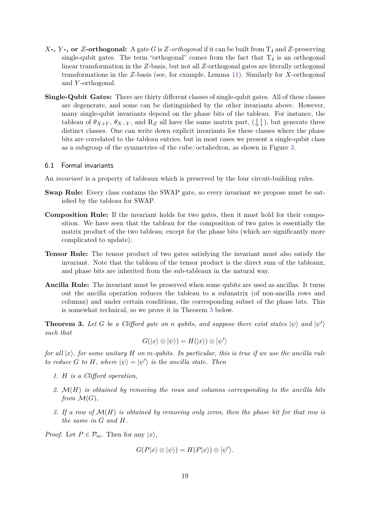- *X***-,** *Y* **-, or** *Z***-orthogonal:** A gate *G* is *Z*-orthogonal if it can be built from T<sup>4</sup> and *Z*-preserving single-qubit gates. The term "orthogonal" comes from the fact that  $T_4$  is an orthogonal linear transformation in the *Z*-basis, but not all *Z*-orthogonal gates are literally orthogonal transformations in the *Z*-basis (see, for example, Lemma [11\)](#page-26-0). Similarly for *X*-orthogonal and *Y* -orthogonal.
- **Single-Qubit Gates:** There are thirty different classes of single-qubit gates. All of these classes are degenerate, and some can be distinguished by the other invariants above. However, many single-qubit invariants depend on the phase bits of the tableau. For instance, the tableau of  $\theta_{X+Y}$ ,  $\theta_{X-Y}$ , and R<sub>Z</sub> all have the same matrix part,  $\begin{pmatrix} 1 & 1 \\ 0 & 1 \end{pmatrix}$ , but generate three distinct classes. One can write down explicit invariants for these classes where the phase bits are correlated to the tableau entries, but in most cases we present a single-qubit class as a subgroup of the symmetries of the cube/octahedron, as shown in Figure [3.](#page-8-0)

#### 6.1 Formal invariants

An invariant is a property of tableaux which is preserved by the four circuit-building rules.

- **Swap Rule:** Every class contains the SWAP gate, so every invariant we propose must be satisfied by the tableau for SWAP.
- **Composition Rule:** If the invariant holds for two gates, then it must hold for their composition. We have seen that the tableau for the composition of two gates is essentially the matrix product of the two tableau, except for the phase bits (which are significantly more complicated to update).
- **Tensor Rule:** The tensor product of two gates satisfying the invariant must also satisfy the invariant. Note that the tableau of the tensor product is the direct sum of the tableaux, and phase bits are inherited from the sub-tableaux in the natural way.
- **Ancilla Rule:** The invariant must be preserved when some qubits are used as ancillas. It turns out the ancilla operation reduces the tableau to a submatrix (of non-ancilla rows and columns) and under certain conditions, the corresponding subset of the phase bits. This is somewhat technical, so we prove it in Theorem [3](#page-18-0) below.

<span id="page-18-0"></span>**Theorem 3.** Let G be a Clifford gate on *n* qubits, and suppose there exist states  $|\psi\rangle$  and  $|\psi'\rangle$ *such that*

$$
G(|x\rangle\otimes|\psi\rangle)=H(|x\rangle)\otimes|\psi'\rangle
$$

*for all* |*x*i*, for some unitary H on m-qubits. In particular, this is true if we use the ancilla rule to reduce G to H, where*  $|\psi\rangle = |\psi'\rangle$  *is the ancilla state. Then* 

- *1. H is a Clifford operation,*
- *2.* M(*H*) *is obtained by removing the rows and columns corresponding to the ancilla bits from*  $\mathcal{M}(G)$ *,*
- *3. If a row of* M(*H*) *is obtained by removing only zeros, then the phase bit for that row is the same in G and H.*

*Proof.* Let  $P \in \mathcal{P}_m$ . Then for any  $|x\rangle$ ,

$$
G(P|x\rangle \otimes |\psi\rangle) = H(P|x\rangle) \otimes |\psi'\rangle.
$$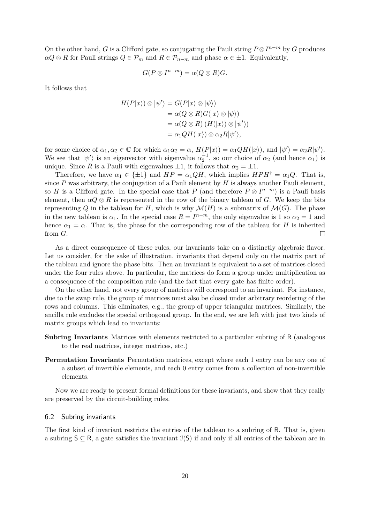On the other hand, *G* is a Clifford gate, so conjugating the Pauli string  $P \otimes I^{n-m}$  by *G* produces  $\alpha Q \otimes R$  for Pauli strings  $Q \in \mathcal{P}_m$  and  $R \in \mathcal{P}_{n-m}$  and phase  $\alpha \in \pm 1$ . Equivalently,

$$
G(P\otimes I^{n-m})=\alpha(Q\otimes R)G.
$$

It follows that

$$
H(P|x\rangle) \otimes |\psi'\rangle = G(P|x\rangle \otimes |\psi\rangle)
$$
  
=  $\alpha(Q \otimes R)G(|x\rangle \otimes |\psi\rangle)$   
=  $\alpha(Q \otimes R) (H(|x\rangle) \otimes |\psi'\rangle)$   
=  $\alpha_1 Q H(|x\rangle) \otimes \alpha_2 R |\psi'\rangle,$ 

for some choice of  $\alpha_1, \alpha_2 \in \mathbb{C}$  for which  $\alpha_1 \alpha_2 = \alpha$ ,  $H(P|x\rangle) = \alpha_1 QH(|x\rangle)$ , and  $|\psi'\rangle = \alpha_2 R|\psi'\rangle$ . We see that  $|\psi'\rangle$  is an eigenvector with eigenvalue  $\alpha_2^{-1}$ , so our choice of  $\alpha_2$  (and hence  $\alpha_1$ ) is unique. Since *R* is a Pauli with eigenvalues  $\pm 1$ , it follows that  $\alpha_2 = \pm 1$ .

Therefore, we have  $\alpha_1 \in \{\pm 1\}$  and  $HP = \alpha_1 QH$ , which implies  $HPH^{\dagger} = \alpha_1 Q$ . That is, since  $P$  was arbitrary, the conjugation of a Pauli element by  $H$  is always another Pauli element, so *H* is a Clifford gate. In the special case that *P* (and therefore  $P \otimes I^{n-m}$ ) is a Pauli basis element, then  $\alpha Q \otimes R$  is represented in the row of the binary tableau of *G*. We keep the bits representing *Q* in the tableau for *H*, which is why  $\mathcal{M}(H)$  is a submatrix of  $\mathcal{M}(G)$ . The phase in the new tableau is  $\alpha_1$ . In the special case  $R = I^{n-m}$ , the only eigenvalue is 1 so  $\alpha_2 = 1$  and hence  $\alpha_1 = \alpha$ . That is, the phase for the corresponding row of the tableau for *H* is inherited from *G*.  $\Box$ 

As a direct consequence of these rules, our invariants take on a distinctly algebraic flavor. Let us consider, for the sake of illustration, invariants that depend only on the matrix part of the tableau and ignore the phase bits. Then an invariant is equivalent to a set of matrices closed under the four rules above. In particular, the matrices do form a group under multiplication as a consequence of the composition rule (and the fact that every gate has finite order).

On the other hand, not every group of matrices will correspond to an invariant. For instance, due to the swap rule, the group of matrices must also be closed under arbitrary reordering of the rows and columns. This eliminates, e.g., the group of upper triangular matrices. Similarly, the ancilla rule excludes the special orthogonal group. In the end, we are left with just two kinds of matrix groups which lead to invariants:

- **Subring Invariants** Matrices with elements restricted to a particular subring of R (analogous to the real matrices, integer matrices, etc.)
- **Permutation Invariants** Permutation matrices, except where each 1 entry can be any one of a subset of invertible elements, and each 0 entry comes from a collection of non-invertible elements.

Now we are ready to present formal definitions for these invariants, and show that they really are preserved by the circuit-building rules.

#### 6.2 Subring invariants

The first kind of invariant restricts the entries of the tableau to a subring of R. That is, given a subring  $S \subseteq R$ , a gate satisfies the invariant  $\mathcal{I}(S)$  if and only if all entries of the tableau are in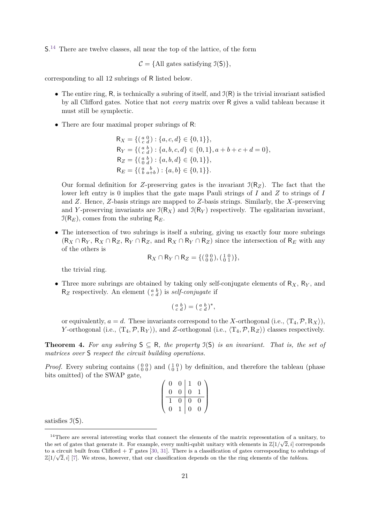S. [14](#page-20-0) There are twelve classes, all near the top of the lattice, of the form

 $C = \{All gates satisfying J(S)\},\$ 

corresponding to all 12 subrings of R listed below.

- The entire ring, R, is technically a subring of itself, and  $\mathcal{I}(R)$  is the trivial invariant satisfied by all Clifford gates. Notice that not every matrix over R gives a valid tableau because it must still be symplectic.
- There are four maximal proper subrings of R:

$$
R_X = \{ \begin{pmatrix} a & 0 \\ c & d \end{pmatrix} : \{a, c, d\} \in \{0, 1\} \},
$$
  
\n
$$
R_Y = \{ \begin{pmatrix} a & b \\ c & d \end{pmatrix} : \{a, b, c, d\} \in \{0, 1\}, a+b+c+d=0 \},
$$
  
\n
$$
R_Z = \{ \begin{pmatrix} a & b \\ b & a+b \end{pmatrix} : \{a, b, d\} \in \{0, 1\} \},
$$
  
\n
$$
R_E = \{ \begin{pmatrix} a & b \\ b & a+b \end{pmatrix} : \{a, b\} \in \{0, 1\} \}.
$$

Our formal definition for *Z*-preserving gates is the invariant  $\mathcal{I}(R_Z)$ . The fact that the lower left entry is 0 implies that the gate maps Pauli strings of *I* and *Z* to strings of *I* and *Z*. Hence, *Z*-basis strings are mapped to *Z*-basis strings. Similarly, the *X*-preserving and *Y*-preserving invariants are  $\mathcal{I}(R_X)$  and  $\mathcal{I}(R_Y)$  respectively. The egalitarian invariant,  $\mathfrak{I}(\mathsf{R}_E)$ , comes from the subring  $\mathsf{R}_E$ .

• The intersection of two subrings is itself a subring, giving us exactly four more subrings  $(R_X \cap R_Y, R_X \cap R_Z, R_Y \cap R_Z, \text{ and } R_X \cap R_Y \cap R_Z)$  since the intersection of  $R_E$  with any of the others is

$$
R_X \cap R_Y \cap R_Z = \{ \begin{pmatrix} 0 & 0 \\ 0 & 0 \end{pmatrix}, \begin{pmatrix} 1 & 0 \\ 0 & 1 \end{pmatrix} \},\
$$

the trivial ring.

• Three more subrings are obtained by taking only self-conjugate elements of R*X*, R*<sup>Y</sup>* , and  $R_Z$  respectively. An element  $\begin{pmatrix} a & b \\ c & d \end{pmatrix}$  is *self-conjugate* if

$$
\left(\begin{smallmatrix} a & b \\ c & d \end{smallmatrix}\right) = \left(\begin{smallmatrix} a & b \\ c & d \end{smallmatrix}\right)^*,
$$

or equivalently,  $a = d$ . These invariants correspond to the *X*-orthogonal (i.e.,  $\langle T_4, \mathcal{P}, R_X \rangle$ ), *Y*-orthogonal (i.e.,  $\langle T_4, P, R_Y \rangle$ ), and *Z*-orthogonal (i.e.,  $\langle T_4, P, R_Z \rangle$ ) classes respectively.

**Theorem 4.** For any subring  $S \subseteq R$ , the property  $J(S)$  is an invariant. That is, the set of *matrices over* S *respect the circuit building operations.*

*Proof.* Every subring contains  $\begin{pmatrix} 0 & 0 \\ 0 & 0 \end{pmatrix}$  and  $\begin{pmatrix} 1 & 0 \\ 0 & 1 \end{pmatrix}$  by definition, and therefore the tableau (phase bits omitted) of the SWAP gate,

| $\overline{0}$ | 0                | 1              | 0 |  |
|----------------|------------------|----------------|---|--|
| 0              | $\boldsymbol{0}$ | $\overline{0}$ |   |  |
|                | $\overline{0}$   | $\overline{0}$ | 0 |  |
| 0              | T                | 0              | 0 |  |

satisfies  $\mathfrak{I}(S)$ .

<span id="page-20-0"></span><sup>&</sup>lt;sup>14</sup>There are several interesting works that connect the elements of the matrix representation of a unitary, to the set of gates that generate it. For example, every multi-qubit unitary with elements in  $\mathbb{Z}[1/\sqrt{2},i]$  corresponds to a circuit built from Clifford + *T* gates [\[30,](#page-38-1) [31\]](#page-38-2). There is a classification of gates corresponding to subrings of  $\mathbb{Z}[1/\sqrt{2},i]$  [\[7\]](#page-36-6). We stress, however, that our classification depends on the the ring elements of the *tableau*.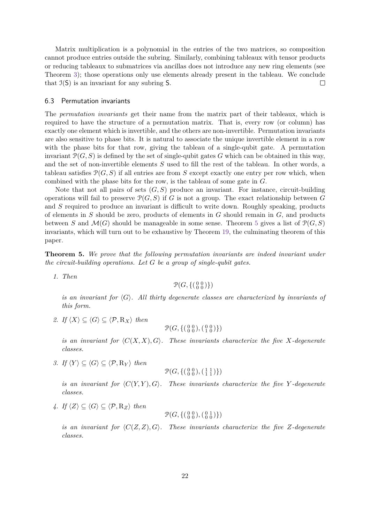Matrix multiplication is a polynomial in the entries of the two matrices, so composition cannot produce entries outside the subring. Similarly, combining tableaux with tensor products or reducing tableaux to submatrices via ancillas does not introduce any new ring elements (see Theorem [3\)](#page-18-0); those operations only use elements already present in the tableau. We conclude that  $\mathfrak{I}(S)$  is an invariant for any subring S.  $\Box$ 

#### 6.3 Permutation invariants

The permutation invariants get their name from the matrix part of their tableaux, which is required to have the structure of a permutation matrix. That is, every row (or column) has exactly one element which is invertible, and the others are non-invertible. Permutation invariants are also sensitive to phase bits. It is natural to associate the unique invertible element in a row with the phase bits for that row, giving the tableau of a single-qubit gate. A permutation invariant  $\mathcal{P}(G, S)$  is defined by the set of single-qubit gates G which can be obtained in this way, and the set of non-invertible elements *S* used to fill the rest of the tableau. In other words, a tableau satisfies  $\mathcal{P}(G, S)$  if all entries are from *S* except exactly one entry per row which, when combined with the phase bits for the row, is the tableau of some gate in *G*.

Note that not all pairs of sets  $(G, S)$  produce an invariant. For instance, circuit-building operations will fail to preserve P(*G, S*) if *G* is not a group. The exact relationship between *G* and *S* required to produce an invariant is difficult to write down. Roughly speaking, products of elements in *S* should be zero, products of elements in *G* should remain in *G*, and products between *S* and  $\mathcal{M}(G)$  should be manageable in some sense. Theorem [5](#page-21-0) gives a list of  $\mathcal{P}(G, S)$ invariants, which will turn out to be exhaustive by Theorem [19,](#page-32-1) the culminating theorem of this paper.

<span id="page-21-0"></span>**Theorem 5.** *We prove that the following permutation invariants are indeed invariant under the circuit-building operations. Let G be a group of single-qubit gates.*

*1. Then*

 $\mathcal{P}(G, \{(\begin{smallmatrix} 0 & 0 \\ 0 & 0 \end{smallmatrix})\})$ 

*is an invariant for*  $\langle G \rangle$ *. All thirty degenerate classes are characterized by invariants of this form.*

*2. If*  $\langle X \rangle \subseteq \langle G \rangle \subseteq \langle \mathcal{P}, \mathbb{R}_X \rangle$  *then* 

$$
\mathcal{P}(G, \{ \left( \begin{smallmatrix} 0 & 0 \\ 0 & 0 \end{smallmatrix} \right), \left( \begin{smallmatrix} 0 & 0 \\ 1 & 0 \end{smallmatrix} \right) \})
$$

*is an invariant for*  $\langle C(X,X),G \rangle$ *. These invariants characterize the five X-degenerate classes.*

*3. If*  $\langle Y \rangle \subseteq \langle G \rangle \subseteq \langle \mathcal{P}, R_Y \rangle$  *then* 

$$
\mathcal{P}(G, \{ \left( \begin{smallmatrix} 0 & 0 \\ 0 & 0 \end{smallmatrix} \right), \left( \begin{smallmatrix} 1 & 1 \\ 1 & 1 \end{smallmatrix} \right) \})
$$

*is an invariant for*  $\langle C(Y, Y), G \rangle$ *. These invariants characterize the five Y -degenerate classes.*

*4. If*  $\langle Z \rangle$  ⊂  $\langle G \rangle$  ⊂  $\langle P, R_Z \rangle$  *then* 

$$
\mathcal{P}(G, \{ \left( \begin{smallmatrix} 0 & 0 \\ 0 & 0 \end{smallmatrix} \right), \left( \begin{smallmatrix} 0 & 1 \\ 0 & 0 \end{smallmatrix} \right) \})
$$

*is an invariant for*  $\langle C(Z, Z), G \rangle$ *. These invariants characterize the five Z-degenerate classes.*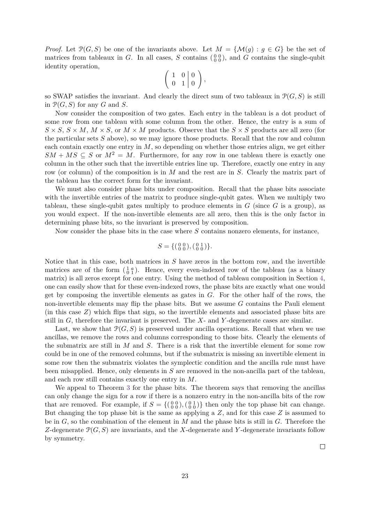*Proof.* Let  $\mathcal{P}(G, S)$  be one of the invariants above. Let  $M = \{ \mathcal{M}(g) : g \in G \}$  be the set of matrices from tableaux in *G*. In all cases, *S* contains  $\begin{pmatrix} 0 & 0 \\ 0 & 0 \end{pmatrix}$ , and *G* contains the single-qubit identity operation,

$$
\left(\begin{array}{cc|c}1 & 0 & 0\\0 & 1 & 0\end{array}\right),
$$

so SWAP satisfies the invariant. And clearly the direct sum of two tableaux in  $\mathcal{P}(G, S)$  is still in  $\mathcal{P}(G, S)$  for any *G* and *S*.

Now consider the composition of two gates. Each entry in the tableau is a dot product of some row from one tableau with some column from the other. Hence, the entry is a sum of  $S \times S$ ,  $S \times M$ ,  $M \times S$ , or  $M \times M$  products. Observe that the  $S \times S$  products are all zero (for the particular sets *S* above), so we may ignore those products. Recall that the row and column each contain exactly one entry in *M*, so depending on whether those entries align, we get either  $SM + MS \subseteq S$  or  $M^2 = M$ . Furthermore, for any row in one tableau there is exactly one column in the other such that the invertible entries line up. Therefore, exactly one entry in any row (or column) of the composition is in *M* and the rest are in *S*. Clearly the matrix part of the tableau has the correct form for the invariant.

We must also consider phase bits under composition. Recall that the phase bits associate with the invertible entries of the matrix to produce single-qubit gates. When we multiply two tableau, these single-qubit gates multiply to produce elements in  $G$  (since  $G$  is a group), as you would expect. If the non-invertible elements are all zero, then this is the only factor in determining phase bits, so the invariant is preserved by composition.

Now consider the phase bits in the case where *S* contains nonzero elements, for instance,

$$
S = \{ \left( \begin{smallmatrix} 0 & 0 \\ 0 & 0 \end{smallmatrix} \right), \left( \begin{smallmatrix} 0 & 1 \\ 0 & 0 \end{smallmatrix} \right) \}.
$$

Notice that in this case, both matrices in *S* have zeros in the bottom row, and the invertible matrices are of the form  $\begin{pmatrix} 1 & a \\ 0 & 1 \end{pmatrix}$ . Hence, every even-indexed row of the tableau (as a binary matrix) is all zeros except for one entry. Using the method of tableau composition in Section [4,](#page-10-0) one can easily show that for these even-indexed rows, the phase bits are exactly what one would get by composing the invertible elements as gates in *G*. For the other half of the rows, the non-invertible elements may flip the phase bits. But we assume *G* contains the Pauli element (in this case *Z*) which flips that sign, so the invertible elements and associated phase bits are still in *G*, therefore the invariant is preserved. The *X*- and *Y* -degenerate cases are similar.

Last, we show that  $\mathcal{P}(G, S)$  is preserved under ancilla operations. Recall that when we use ancillas, we remove the rows and columns corresponding to those bits. Clearly the elements of the submatrix are still in *M* and *S*. There is a risk that the invertible element for some row could be in one of the removed columns, but if the submatrix is missing an invertible element in some row then the submatrix violates the symplectic condition and the ancilla rule must have been misapplied. Hence, only elements in *S* are removed in the non-ancilla part of the tableau, and each row still contains exactly one entry in *M*.

We appeal to Theorem [3](#page-18-0) for the phase bits. The theorem says that removing the ancillas can only change the sign for a row if there is a nonzero entry in the non-ancilla bits of the row that are removed. For example, if  $S = \{(\begin{smallmatrix}0&0\\0&0\end{smallmatrix}),(\begin{smallmatrix}0&1\\0&0\end{smallmatrix})\}$  then only the top phase bit can change. But changing the top phase bit is the same as applying a *Z*, and for this case *Z* is assumed to be in *G*, so the combination of the element in *M* and the phase bits is still in *G*. Therefore the *Z*-degenerate P(*G, S*) are invariants, and the *X*-degenerate and *Y* -degenerate invariants follow by symmetry.

 $\Box$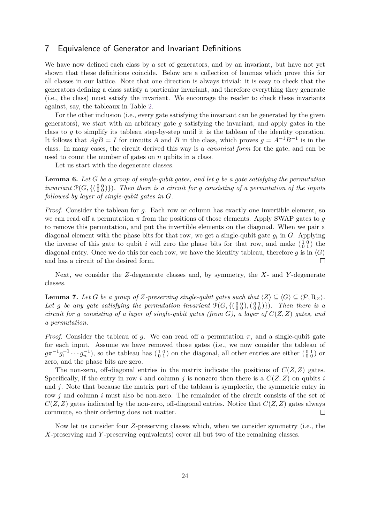# <span id="page-23-0"></span>7 Equivalence of Generator and Invariant Definitions

We have now defined each class by a set of generators, and by an invariant, but have not yet shown that these definitions coincide. Below are a collection of lemmas which prove this for all classes in our lattice. Note that one direction is always trivial: it is easy to check that the generators defining a class satisfy a particular invariant, and therefore everything they generate (i.e., the class) must satisfy the invariant. We encourage the reader to check these invariants against, say, the tableaux in Table [2.](#page-11-0)

For the other inclusion (i.e., every gate satisfying the invariant can be generated by the given generators), we start with an arbitrary gate *g* satisfying the invariant, and apply gates in the class to *g* to simplify its tableau step-by-step until it is the tableau of the identity operation. It follows that  $AgB = I$  for circuits *A* and *B* in the class, which proves  $g = A^{-1}B^{-1}$  is in the class. In many cases, the circuit derived this way is a canonical form for the gate, and can be used to count the number of gates on *n* qubits in a class.

Let us start with the degenerate classes.

<span id="page-23-1"></span>**Lemma 6.** *Let G be a group of single-qubit gates, and let g be a gate satisfying the permutation invariant*  $\mathcal{P}(G, \{(\begin{smallmatrix} 0 & 0 \\ 0 & 0 \end{smallmatrix})\})$ *. Then there is a circuit for g consisting of a permutation of the inputs followed by layer of single-qubit gates in G.*

*Proof.* Consider the tableau for *g*. Each row or column has exactly one invertible element, so we can read off a permutation  $\pi$  from the positions of those elements. Apply SWAP gates to *q* to remove this permutation, and put the invertible elements on the diagonal. When we pair a diagonal element with the phase bits for that row, we get a single-qubit gate *g<sup>i</sup>* in *G*. Applying the inverse of this gate to qubit *i* will zero the phase bits for that row, and make  $\begin{pmatrix} 1 & 0 \\ 0 & 1 \end{pmatrix}$  the diagonal entry. Once we do this for each row, we have the identity tableau, therefore g is in  $\langle G \rangle$ and has a circuit of the desired form.  $\Box$ 

Next, we consider the *Z*-degenerate classes and, by symmetry, the *X*- and *Y* -degenerate classes.

<span id="page-23-2"></span>**Lemma 7.** *Let G be a group of Z-preserving single-qubit gates such that*  $\langle Z \rangle \subseteq \langle G \rangle \subseteq \langle P, R_Z \rangle$ *.* Let *g* be any gate satisfying the permutation invariant  $\mathcal{P}(G, \{(\begin{smallmatrix} 0 & 0 \\ 0 & 0 \end{smallmatrix}), (\begin{smallmatrix} 0 & 1 \\ 0 & 0 \end{smallmatrix})\})$ . Then there is a *circuit for g consisting of a layer of single-qubit gates (from G), a layer of C*(*Z, Z*) *gates, and a permutation.*

*Proof.* Consider the tableau of *g*. We can read off a permutation  $\pi$ , and a single-qubit gate for each input. Assume we have removed those gates (i.e., we now consider the tableau of  $g\pi^{-1}g_1^{-1}\cdots g_n^{-1}$ ), so the tableau has  $\left(\begin{smallmatrix}1&0\\0&1\end{smallmatrix}\right)$  on the diagonal, all other entries are either  $\left(\begin{smallmatrix}0&1\\0&0\end{smallmatrix}\right)$  or zero, and the phase bits are zero.

The non-zero, off-diagonal entries in the matrix indicate the positions of  $C(Z, Z)$  gates. Specifically, if the entry in row *i* and column *j* is nonzero then there is a  $C(Z, Z)$  on qubits *i* and *j*. Note that because the matrix part of the tableau is symplectic, the symmetric entry in row *j* and column *i* must also be non-zero. The remainder of the circuit consists of the set of  $C(Z, Z)$  gates indicated by the non-zero, off-diagonal entries. Notice that  $C(Z, Z)$  gates always commute, so their ordering does not matter.  $\Box$ 

Now let us consider four *Z*-preserving classes which, when we consider symmetry (i.e., the *X*-preserving and *Y* -preserving equivalents) cover all but two of the remaining classes.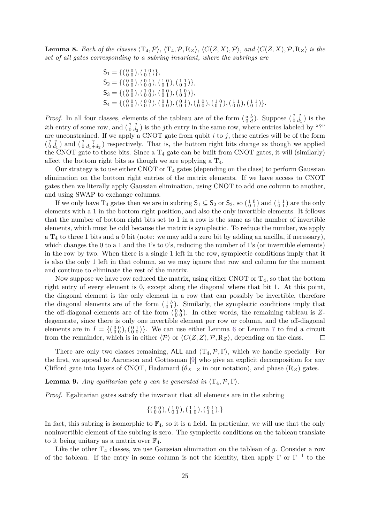<span id="page-24-0"></span>**Lemma 8.** Each of the classes  $\langle T_4, \mathcal{P} \rangle$ ,  $\langle T_4, \mathcal{P}, R_Z \rangle$ ,  $\langle C(Z, X), \mathcal{P} \rangle$ , and  $\langle C(Z, X), \mathcal{P}, R_Z \rangle$  is the *set of all gates corresponding to a subring invariant, where the subrings are*

$$
S_1 = \{ \begin{pmatrix} 0 & 0 \\ 0 & 0 \end{pmatrix}, \begin{pmatrix} 1 & 0 \\ 0 & 1 \end{pmatrix} \},
$$
  
\n
$$
S_2 = \{ \begin{pmatrix} 0 & 0 \\ 0 & 0 \end{pmatrix}, \begin{pmatrix} 0 & 1 \\ 0 & 0 \end{pmatrix}, \begin{pmatrix} 1 & 0 \\ 0 & 1 \end{pmatrix}, \begin{pmatrix} 1 & 1 \\ 0 & 1 \end{pmatrix} \},
$$
  
\n
$$
S_3 = \{ \begin{pmatrix} 0 & 0 \\ 0 & 0 \end{pmatrix}, \begin{pmatrix} 0 & 0 \\ 0 & 1 \end{pmatrix}, \begin{pmatrix} 0 & 1 \\ 0 & 0 \end{pmatrix}, \begin{pmatrix} 1 & 0 \\ 0 & 1 \end{pmatrix}, \begin{pmatrix} 1 & 0 \\ 0 & 1 \end{pmatrix}, \begin{pmatrix} 1 & 0 \\ 0 & 1 \end{pmatrix}, \begin{pmatrix} 1 & 1 \\ 0 & 1 \end{pmatrix}, \begin{pmatrix} 1 & 1 \\ 0 & 1 \end{pmatrix} \}.
$$

*Proof.* In all four classes, elements of the tableau are of the form  $\begin{pmatrix} a & b \\ 0 & d \end{pmatrix}$ . Suppose  $\begin{pmatrix} ? & ? \\ 0 & d_1 \end{pmatrix}$  is the *i*th entry of some row, and  $\begin{pmatrix} ? & ? \\ 0 & d_2 \end{pmatrix}$  is the *j*th entry in the same row, where entries labeled by "?" are unconstrained. If we apply a CNOT gate from qubit  $i$  to  $j$ , these entries will be of the form  $\binom{?}{0}$   $\frac{?}{d_1}$  and  $\binom{?}{0}$   $\frac{?}{d_1+d_2}$  respectively. That is, the bottom right bits change as though we applied the CNOT gate to those bits. Since a  $T_4$  gate can be built from CNOT gates, it will (similarly) affect the bottom right bits as though we are applying a  $T_4$ .

Our strategy is to use either CNOT or  $T_4$  gates (depending on the class) to perform Gaussian elimination on the bottom right entries of the matrix elements. If we have access to CNOT gates then we literally apply Gaussian elimination, using CNOT to add one column to another, and using SWAP to exchange columns.

If we only have  $T_4$  gates then we are in subring  $S_1 \subseteq S_2$  or  $S_2$ , so  $\begin{pmatrix} 1 & 0 \\ 0 & 1 \end{pmatrix}$  and  $\begin{pmatrix} 1 & 1 \\ 0 & 1 \end{pmatrix}$  are the only elements with a 1 in the bottom right position, and also the only invertible elements. It follows that the number of bottom right bits set to 1 in a row is the same as the number of invertible elements, which must be odd because the matrix is symplectic. To reduce the number, we apply a  $T_4$  to three 1 bits and a 0 bit (note: we may add a zero bit by adding an ancilla, if necessary), which changes the 0 to a 1 and the 1's to 0's, reducing the number of 1's (or invertible elements) in the row by two. When there is a single 1 left in the row, symplectic conditions imply that it is also the only 1 left in that column, so we may ignore that row and column for the moment and continue to eliminate the rest of the matrix.

Now suppose we have row reduced the matrix, using either CNOT or  $T_4$ , so that the bottom right entry of every element is 0, except along the diagonal where that bit 1. At this point, the diagonal element is the only element in a row that can possibly be invertible, therefore the diagonal elements are of the form  $\begin{pmatrix} 1 & b \\ 0 & 1 \end{pmatrix}$ . Similarly, the symplectic conditions imply that the off-diagonal elements are of the form  $\begin{pmatrix} 0 & b \\ 0 & 0 \end{pmatrix}$ . In other words, the remaining tableau is Zdegenerate, since there is only one invertible element per row or column, and the off-diagonal elements are in  $I = \{(\begin{smallmatrix} 0 & 0 \\ 0 & 0 \end{smallmatrix}), (\begin{smallmatrix} 0 & 1 \\ 0 & 0 \end{smallmatrix})\}$ . We can use either Lemma [6](#page-23-1) or Lemma [7](#page-23-2) to find a circuit from the remainder, which is in either  $\langle \mathcal{P} \rangle$  or  $\langle C(Z, Z), \mathcal{P}, R_Z \rangle$ , depending on the class.

There are only two classes remaining, ALL and  $\langle T_4, \mathcal{P}, \Gamma \rangle$ , which we handle specially. For the first, we appeal to Aaronson and Gottesman [\[9\]](#page-37-1) who give an explicit decomposition for any Clifford gate into layers of CNOT, Hadamard ( $\theta_{X+Z}$  in our notation), and phase ( $R_Z$ ) gates.

**Lemma 9.** *Any egalitarian gate g can be generated in*  $\langle T_4, \mathcal{P}, \Gamma \rangle$ *.* 

*Proof.* Egalitarian gates satisfy the invariant that all elements are in the subring

$$
\left\{ \big(\begin{smallmatrix} 0 & 0 \\ 0 & 0 \end{smallmatrix}\big) , \big(\begin{smallmatrix} 1 & 0 \\ 0 & 1 \end{smallmatrix}\big), \big(\begin{smallmatrix} 1 & 1 \\ 1 & 0 \end{smallmatrix}\big), \big(\begin{smallmatrix} 0 & 1 \\ 1 & 1 \end{smallmatrix}\big) . \right\}
$$

In fact, this subring is isomorphic to  $\mathbb{F}_4$ , so it is a field. In particular, we will use that the only noninvertible element of the subring is zero. The symplectic conditions on the tableau translate to it being unitary as a matrix over  $\mathbb{F}_4$ .

Like the other  $T_4$  classes, we use Gaussian elimination on the tableau of  $g$ . Consider a row of the tableau. If the entry in some column is not the identity, then apply  $\Gamma$  or  $\Gamma^{-1}$  to the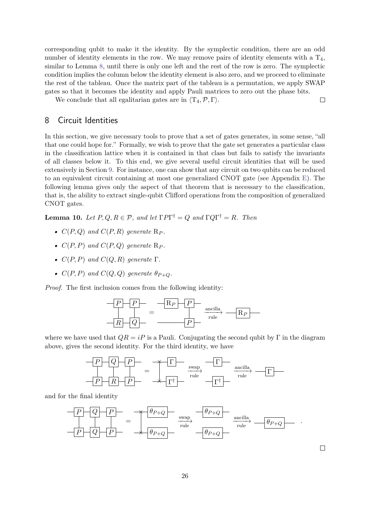corresponding qubit to make it the identity. By the symplectic condition, there are an odd number of identity elements in the row. We may remove pairs of identity elements with a  $T_4$ , similar to Lemma [8,](#page-24-0) until there is only one left and the rest of the row is zero. The symplectic condition implies the column below the identity element is also zero, and we proceed to eliminate the rest of the tableau. Once the matrix part of the tableau is a permutation, we apply SWAP gates so that it becomes the identity and apply Pauli matrices to zero out the phase bits.

 $\Box$ 

 $\Box$ 

We conclude that all egalitarian gates are in  $\langle T_4, \mathcal{P}, \Gamma \rangle$ .

# <span id="page-25-1"></span>8 Circuit Identities

In this section, we give necessary tools to prove that a set of gates generates, in some sense, "all that one could hope for." Formally, we wish to prove that the gate set generates a particular class in the classification lattice when it is contained in that class but fails to satisfy the invariants of all classes below it. To this end, we give several useful circuit identities that will be used extensively in Section [9.](#page-27-0) For instance, one can show that any circuit on two qubits can be reduced to an equivalent circuit containing at most one generalized CNOT gate (see Appendix [E\)](#page-43-0). The following lemma gives only the aspect of that theorem that is necessary to the classification, that is, the ability to extract single-qubit Clifford operations from the composition of generalized CNOT gates.

<span id="page-25-0"></span>**Lemma 10.** *Let*  $P, Q, R \in \mathcal{P}$ , and let  $\Gamma P \Gamma^{\dagger} = Q$  and  $\Gamma Q \Gamma^{\dagger} = R$ . Then

- $C(P,Q)$  *and*  $C(P,R)$  *generate*  $\mathbb{R}_P$ *.*
- $C(P, P)$  *and*  $C(P, Q)$  *generate*  $\mathbb{R}_P$ *.*
- *•*  $C(P, P)$  *and*  $C(Q, R)$  *generate*  $\Gamma$ *.*
- $C(P, P)$  *and*  $C(Q, Q)$  *generate*  $\theta_{P+Q}$ *.*

*Proof.* The first inclusion comes from the following identity:



where we have used that  $QR = iP$  is a Pauli. Conjugating the second qubit by  $\Gamma$  in the diagram above, gives the second identity. For the third identity, we have



and for the final identity

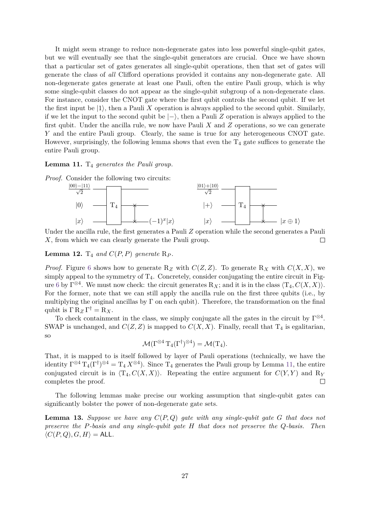It might seem strange to reduce non-degenerate gates into less powerful single-qubit gates, but we will eventually see that the single-qubit generators are crucial. Once we have shown that a particular set of gates generates all single-qubit operations, then that set of gates will generate the class of all Clifford operations provided it contains any non-degenerate gate. All non-degenerate gates generate at least one Pauli, often the entire Pauli group, which is why some single-qubit classes do not appear as the single-qubit subgroup of a non-degenerate class. For instance, consider the CNOT gate where the first qubit controls the second qubit. If we let the first input be  $|1\rangle$ , then a Pauli X operation is always applied to the second qubit. Similarly, if we let the input to the second qubit be  $\ket{-}$ , then a Pauli *Z* operation is always applied to the first qubit. Under the ancilla rule, we now have Pauli *X* and *Z* operations, so we can generate *Y* and the entire Pauli group. Clearly, the same is true for any heterogeneous CNOT gate. However, surprisingly, the following lemma shows that even the  $T_4$  gate suffices to generate the entire Pauli group.

<span id="page-26-0"></span>Lemma 11.  $T_4$  generates the Pauli group.



Under the ancilla rule, the first generates a Pauli *Z* operation while the second generates a Pauli *X*, from which we can clearly generate the Pauli group.  $\Box$ 

<span id="page-26-1"></span>**Lemma 12.**  $T_4$  *and*  $C(P, P)$  *generate*  $R_P$ *.* 

*Proof.* Figure [6](#page-27-1) shows how to generate  $R_Z$  with  $C(Z, Z)$ . To generate  $R_X$  with  $C(X, X)$ , we simply appeal to the symmetry of  $T_4$ . Concretely, consider conjugating the entire circuit in Fig-ure [6](#page-27-1) by  $\Gamma^{\otimes 4}$ . We must now check: the circuit generates  $R_X$ ; and it is in the class  $\langle T_4, C(X,X) \rangle$ . For the former, note that we can still apply the ancilla rule on the first three qubits (i.e., by multiplying the original ancillas by  $\Gamma$  on each qubit). Therefore, the transformation on the final qubit is  $\Gamma R_Z \Gamma^{\dagger} = R_X$ .

To check containment in the class, we simply conjugate all the gates in the circuit by  $\Gamma^{\otimes 4}$ . SWAP is unchanged, and  $C(Z, Z)$  is mapped to  $C(X, X)$ . Finally, recall that  $T<sub>4</sub>$  is egalitarian, so

 $\mathcal{M} (\Gamma^{\otimes 4} \, \mathrm{T}_4 (\Gamma^{\dagger})^{\otimes 4}) = \mathcal{M} (\mathrm{T}_4).$ 

That, it is mapped to is itself followed by layer of Pauli operations (technically, we have the identity  $\Gamma^{\otimes 4}$   $T_4(\Gamma^{\dagger})^{\otimes 4} = T_4 X^{\otimes 4}$ . Since  $T_4$  generates the Pauli group by Lemma [11,](#page-26-0) the entire conjugated circuit is in  $\langle T_4, C(X,X) \rangle$ . Repeating the entire argument for  $C(Y,Y)$  and  $R_Y$ completes the proof.  $\Box$ 

The following lemmas make precise our working assumption that single-qubit gates can significantly bolster the power of non-degenerate gate sets.

<span id="page-26-2"></span>**Lemma 13.** *Suppose we have any C*(*P, Q*) *gate with any single-qubit gate G that does not preserve the P-basis and any single-qubit gate H that does not preserve the Q-basis. Then*  $\langle C(P,Q), G, H \rangle = \mathsf{ALL}.$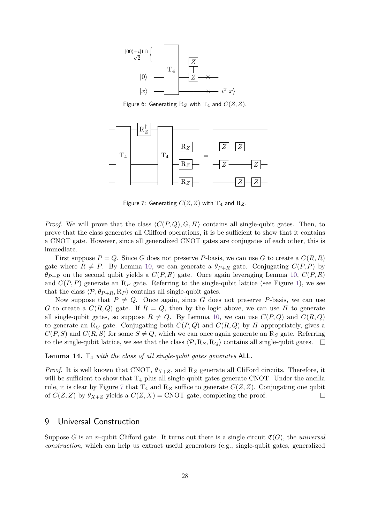<span id="page-27-1"></span>

Figure 6: Generating  $R_Z$  with  $T_4$  and  $C(Z, Z)$ .

<span id="page-27-2"></span>

Figure 7: Generating  $C(Z, Z)$  with  $T_4$  and  $R_Z$ .

*Proof.* We will prove that the class  $\langle C(P,Q), G, H \rangle$  contains all single-qubit gates. Then, to prove that the class generates all Clifford operations, it is be sufficient to show that it contains a CNOT gate. However, since all generalized CNOT gates are conjugates of each other, this is immediate.

First suppose  $P = Q$ . Since G does not preserve P-basis, we can use G to create a  $C(R, R)$ gate where  $R \neq P$ . By Lemma [10,](#page-25-0) we can generate a  $\theta_{P+R}$  gate. Conjugating  $C(P, P)$  by  $\theta_{P+R}$  on the second qubit yields a  $C(P, R)$  gate. Once again leveraging Lemma [10,](#page-25-0)  $C(P, R)$ and  $C(P, P)$  generate an  $\mathbb{R}_P$  gate. Referring to the single-qubit lattice (see Figure [1\)](#page-4-0), we see that the class  $\langle \mathcal{P}, \theta_{P+R}, R_P \rangle$  contains all single-qubit gates.

Now suppose that  $P \neq Q$ . Once again, since G does not preserve P-basis, we can use *G* to create a  $C(R, Q)$  gate. If  $R = Q$ , then by the logic above, we can use *H* to generate all single-qubit gates, so suppose  $R \neq Q$ . By Lemma [10,](#page-25-0) we can use  $C(P,Q)$  and  $C(R,Q)$ to generate an  $R_Q$  gate. Conjugating both  $C(P,Q)$  and  $C(R,Q)$  by *H* appropriately, gives a  $C(P, S)$  and  $C(R, S)$  for some  $S \neq Q$ , which we can once again generate an R<sub>S</sub> gate. Referring to the single-qubit lattice, we see that the class  $\langle P, R_S, R_Q \rangle$  contains all single-qubit gates.  $\Box$ 

<span id="page-27-3"></span>**Lemma 14.** T<sup>4</sup> *with the class of all single-qubit gates generates* ALL*.*

*Proof.* It is well known that CNOT,  $\theta_{X+Z}$ , and R<sub>Z</sub> generate all Clifford circuits. Therefore, it will be sufficient to show that  $T_4$  plus all single-qubit gates generate CNOT. Under the ancilla rule, it is clear by Figure [7](#page-27-2) that  $T_4$  and  $R_Z$  suffice to generate  $C(Z, Z)$ . Conjugating one qubit of  $C(Z, Z)$  by  $\theta_{X+Z}$  yields a  $C(Z, X) = \text{CNOT}$  gate, completing the proof.  $\Box$ 

# <span id="page-27-0"></span>9 Universal Construction

Suppose *G* is an *n*-qubit Clifford gate. It turns out there is a single circuit  $\mathfrak{C}(G)$ , the universal construction, which can help us extract useful generators (e.g., single-qubit gates, generalized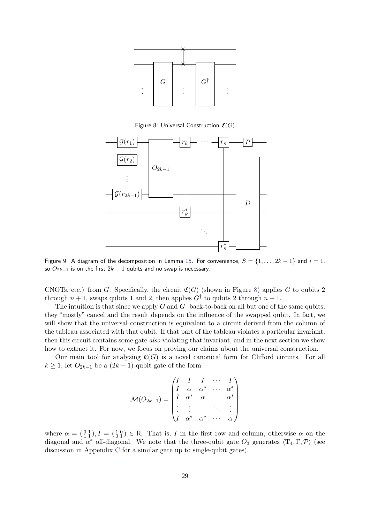<span id="page-28-0"></span>

Figure 8: Universal Construction C(*G*)

<span id="page-28-1"></span>

Figure 9: A diagram of the decomposition in Lemma [15.](#page-29-0) For convenience,  $S = \{1, \ldots, 2k - 1\}$  and  $i = 1$ , so  $O_{2k-1}$  is on the first  $2k-1$  qubits and no swap is necessary.

CNOTs, etc.) from *G*. Specifically, the circuit  $\mathfrak{C}(G)$  (shown in Figure [8\)](#page-28-0) applies *G* to qubits 2 through  $n+1$ , swaps qubits 1 and 2, then applies  $G^{\dagger}$  to qubits 2 through  $n+1$ .

The intuition is that since we apply *G* and  $G^{\dagger}$  back-to-back on all but one of the same qubits, they "mostly" cancel and the result depends on the influence of the swapped qubit. In fact, we will show that the universal construction is equivalent to a circuit derived from the column of the tableau associated with that qubit. If that part of the tableau violates a particular invariant, then this circuit contains some gate also violating that invariant, and in the next section we show how to extract it. For now, we focus on proving our claims about the universal construction.

Our main tool for analyzing  $\mathfrak{C}(G)$  is a novel canonical form for Clifford circuits. For all  $k \geq 1$ , let  $O_{2k-1}$  be a  $(2k-1)$ -qubit gate of the form

$$
\mathcal{M}(O_{2k-1}) = \begin{pmatrix} I & I & I & \cdots & I \\ I & \alpha & \alpha^* & \cdots & \alpha^* \\ I & \alpha^* & \alpha & & \alpha^* \\ \vdots & \vdots & & \ddots & \vdots \\ I & \alpha^* & \alpha^* & \cdots & \alpha \end{pmatrix}
$$

where  $\alpha = \begin{pmatrix} 0 & 1 \\ 1 & 1 \end{pmatrix}$ ,  $I = \begin{pmatrix} 1 & 0 \\ 0 & 1 \end{pmatrix}$   $\in$  R. That is, *I* in the first row and column, otherwise  $\alpha$  on the diagonal and  $\alpha^*$  off-diagonal. We note that the three-qubit gate  $O_3$  generates  $\langle T_4, \Gamma, \mathcal{P} \rangle$  (see discussion in Appendix [C](#page-42-0) for a similar gate up to single-qubit gates).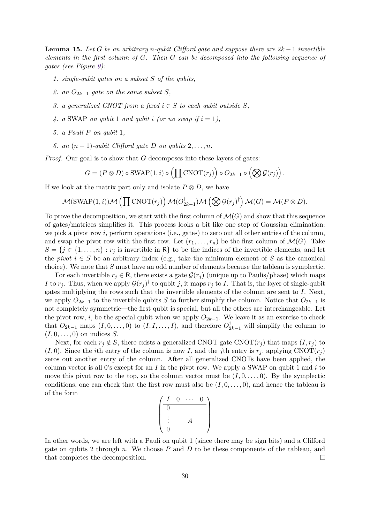<span id="page-29-0"></span>**Lemma 15.** Let *G* be an arbitrary *n*-qubit Clifford gate and suppose there are  $2k - 1$  invertible *elements in the first column of G. Then G can be decomposed into the following sequence of gates (see Figure [9\)](#page-28-1):*

- *1. single-qubit gates on a subset S of the qubits,*
- 2. *an*  $O_{2k-1}$  *gate on the same subset S,*
- *3. a generalized CNOT from a fixed*  $i \in S$  *to each qubit outside*  $S$ *,*
- 4. *a* SWAP *on qubit* 1 *and qubit i* (*or no swap* if  $i = 1$ ),
- *5. a Pauli P on qubit* 1*,*
- *6. an*  $(n-1)$ *-qubit Clifford gate D on qubits* 2*, ..., n.*

*Proof.* Our goal is to show that *G* decomposes into these layers of gates:

$$
G = (P \otimes D) \circ SWAP(1, i) \circ \left( \prod CNOT(r_j) \right) \circ O_{2k-1} \circ \left( \bigotimes \mathcal{G}(r_j) \right).
$$

If we look at the matrix part only and isolate  $P \otimes D$ , we have

$$
\mathcal{M}(\text{SWAP}(1,i))\mathcal{M}\left(\prod \text{CNOT}(r_j)\right)\mathcal{M}(O_{2k-1}^{\dagger})\mathcal{M}\left(\bigotimes \mathcal{G}(r_j)^{\dagger}\right)\mathcal{M}(G)=\mathcal{M}(P\otimes D).
$$

To prove the decomposition, we start with the first column of  $\mathcal{M}(G)$  and show that this sequence of gates/matrices simplifies it. This process looks a bit like one step of Gaussian elimination: we pick a pivot row *i*, perform operations (i.e., gates) to zero out all other entries of the column, and swap the pivot row with the first row. Let  $(r_1, \ldots, r_n)$  be the first column of  $\mathcal{M}(G)$ . Take  $S = \{j \in \{1, \ldots, n\} : r_j \text{ is invertible in } \mathbb{R}\}\$  to be the indices of the invertible elements, and let the *pivot*  $i \in S$  be an arbitrary index (e.g., take the minimum element of S as the canonical choice). We note that *S* must have an odd number of elements because the tableau is symplectic.

For each invertible  $r_j \in \mathsf{R}$ , there exists a gate  $\mathcal{G}(r_j)$  (unique up to Paulis/phase) which maps *I* to  $r_j$ . Thus, when we apply  $\mathcal{G}(r_j)^\dagger$  to qubit *j*, it maps  $r_j$  to *I*. That is, the layer of single-qubit gates multiplying the rows such that the invertible elements of the column are sent to *I*. Next, we apply  $O_{2k-1}$  to the invertible qubits *S* to further simplify the column. Notice that  $O_{2k-1}$  is not completely symmetric—the first qubit is special, but all the others are interchangeable. Let the pivot row, *i*, be the special qubit when we apply  $O_{2k-1}$ . We leave it as an exercise to check that  $O_{2k-1}$  maps  $(I, 0, \ldots, 0)$  to  $(I, I, \ldots, I)$ , and therefore  $O_{2k-1}^{\dagger}$  will simplify the column to  $(I, 0, \ldots, 0)$  on indices S.

Next, for each  $r_i \notin S$ , there exists a generalized CNOT gate CNOT $(r_i)$  that maps  $(I, r_i)$  to  $(I, 0)$ . Since the *i*th entry of the column is now *I*, and the *j*th entry is  $r_i$ , applying CNOT( $r_i$ ) zeros out another entry of the column. After all generalized CNOTs have been applied, the column vector is all 0's except for an *I* in the pivot row. We apply a SWAP on qubit 1 and *i* to move this pivot row to the top, so the column vector must be  $(I, 0, \ldots, 0)$ . By the symplectic conditions, one can check that the first row must also be  $(I, 0, \ldots, 0)$ , and hence the tableau is of the form

$$
\begin{pmatrix}\nI & 0 & \cdots & 0 \\
\hline\n0 & & & \\
\vdots & & A & \\
0 & & & \n\end{pmatrix}
$$

In other words, we are left with a Pauli on qubit 1 (since there may be sign bits) and a Clifford gate on qubits 2 through *n*. We choose *P* and *D* to be these components of the tableau, and that completes the decomposition.  $\Box$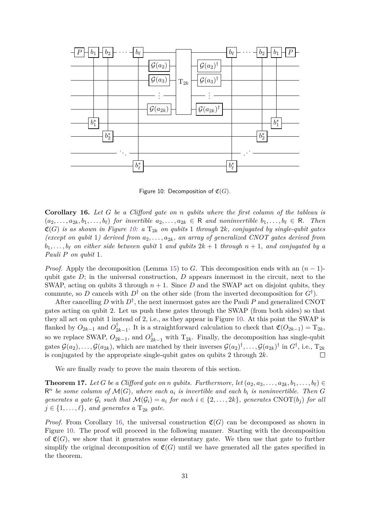<span id="page-30-0"></span>

Figure 10: Decomposition of  $\mathfrak{C}(G)$ .

<span id="page-30-1"></span>**Corollary 16.** *Let G be a Clifford gate on n qubits where the first column of the tableau is*  $(a_2, \ldots, a_{2k}, b_1, \ldots, b_\ell)$  *for invertible*  $a_2, \ldots, a_{2k} \in \mathbb{R}$  and noninvertible  $b_1, \ldots, b_\ell \in \mathbb{R}$ . Then  $\mathfrak{C}(G)$  *is as shown in Figure [10:](#page-30-0) a*  $T_{2k}$  *on qubits* 1 *through* 2*k, conjugated by single-qubit gates (except on qubit* 1*)* derived from  $a_2, \ldots, a_{2k}$ , an array of generalized CNOT gates derived from  $b_1, \ldots, b_\ell$  *on either side between qubit* 1 *and qubits*  $2k + 1$  *through*  $n + 1$ *, and conjugated by a Pauli P on qubit* 1*.*

*Proof.* Apply the decomposition (Lemma [15\)](#page-29-0) to *G*. This decomposition ends with an  $(n-1)$ qubit gate  $D$ ; in the universal construction,  $D$  appears innermost in the circuit, next to the SWAP, acting on qubits 3 through  $n + 1$ . Since D and the SWAP act on disjoint qubits, they commute, so *D* cancels with  $D^{\dagger}$  on the other side (from the inverted decomposition for  $G^{\dagger}$ ).

After cancelling  $D$  with  $D^{\dagger}$ , the next innermost gates are the Pauli  $P$  and generalized CNOT gates acting on qubit 2. Let us push these gates through the SWAP (from both sides) so that they all act on qubit 1 instead of 2, i.e., as they appear in Figure [10.](#page-30-0) At this point the SWAP is flanked by  $O_{2k-1}$  and  $O_2^{\dagger}$  $\mathcal{L}_{2k-1}^{\mathbb{T}}$ . It is a straightforward calculation to check that  $\mathfrak{C}(O_{2k-1}) = T_{2k}$ , so we replace SWAP,  $O_{2k-1}$ , and  $O_{2k-1}^{\dagger}$  with  $T_{2k}$ . Finally, the decomposition has single-qubit gates  $\mathcal{G}(a_2), \ldots, \mathcal{G}(a_{2k})$ , which are matched by their inverses  $\mathcal{G}(a_2)^\dagger, \ldots, \mathcal{G}(a_{2k})^\dagger$  in  $G^\dagger$ , i.e.,  $T_{2k}$ is conjugated by the appropriate single-qubit gates on qubits 2 through 2*k*.  $\Box$ 

We are finally ready to prove the main theorem of this section.

<span id="page-30-2"></span>**Theorem 17.** Let G be a Clifford gate on *n* gubits. Furthermore, let  $(a_2, a_3, \ldots, a_{2k}, b_1, \ldots, b_\ell) \in$  $\mathbb{R}^n$  *be some column of*  $\mathcal{M}(G)$ *, where each*  $a_i$  *is invertible and each*  $b_i$  *is noninvertible. Then*  $G$ *generates a gate*  $\mathcal{G}_i$  *such that*  $\mathcal{M}(\mathcal{G}_i) = a_i$  *for each*  $i \in \{2, ..., 2k\}$ *, generates* CNOT(*b<sub>i</sub>*) *for all*  $j \in \{1, \ldots, \ell\}$ *, and generates a*  $T_{2k}$  *gate.* 

*Proof.* From Corollary [16,](#page-30-1) the universal construction  $\mathfrak{C}(G)$  can be decomposed as shown in Figure [10.](#page-30-0) The proof will proceed in the following manner. Starting with the decomposition of  $\mathfrak{C}(G)$ , we show that it generates some elementary gate. We then use that gate to further simplify the original decomposition of  $\mathfrak{C}(G)$  until we have generated all the gates specified in the theorem.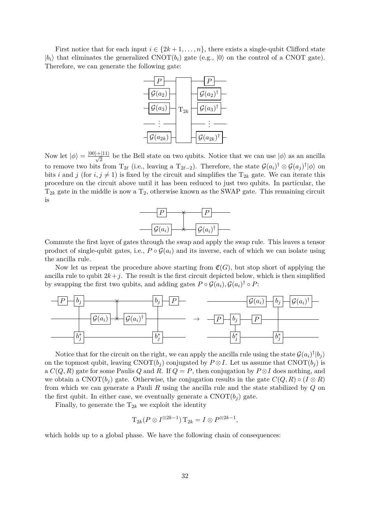First notice that for each input  $i \in \{2k+1,\ldots,n\}$ , there exists a single-qubit Clifford state  $|b_i\rangle$  that eliminates the generalized CNOT $(b_i)$  gate (e.g.,  $|0\rangle$ ) on the control of a CNOT gate). Therefore, we can generate the following gate:



Now let  $|\phi\rangle = \frac{|00\rangle + |11\rangle}{\sqrt{2}}$  be the Bell state on two qubits. Notice that we can use  $|\phi\rangle$  as an ancilla to remove two bits from  $T_{2\ell}$  (i.e., leaving a  $T_{2\ell-2}$ ). Therefore, the state  $\mathcal{G}(a_i)^\dagger \otimes \mathcal{G}(a_j)^\dagger |\phi\rangle$  on bits *i* and *j* (for  $i, j \neq 1$ ) is fixed by the circuit and simplifies the  $T_{2k}$  gate. We can iterate this procedure on the circuit above until it has been reduced to just two qubits. In particular, the  $T_{2k}$  gate in the middle is now a  $T_2$ , otherwise known as the SWAP gate. This remaining circuit is



Commute the first layer of gates through the swap and apply the swap rule. This leaves a tensor product of single-qubit gates, i.e.,  $P \circ \mathcal{G}(a_i)$  and its inverse, each of which we can isolate using the ancilla rule.

Now let us repeat the procedure above starting from  $\mathfrak{C}(G)$ , but stop short of applying the ancilla rule to qubit  $2k+j$ . The result is the first circuit depicted below, which is then simplified by swapping the first two qubits, and adding gates  $P \circ \mathcal{G}(a_i)$ ,  $\mathcal{G}(a_i)^\dagger \circ P$ :



Notice that for the circuit on the right, we can apply the ancilla rule using the state  $\mathcal{G}(a_i)^\dagger | b_j \rangle$ on the topmost qubit, leaving  $CNOT(b_j)$  conjugated by  $P \otimes I$ . Let us assume that  $CNOT(b_j)$  is a  $C(Q, R)$  gate for some Paulis *Q* and *R*. If  $Q = P$ , then conjugation by  $P \otimes I$  does nothing, and we obtain a CNOT $(b_i)$  gate. Otherwise, the conjugation results in the gate  $C(Q, R) \circ (I \otimes R)$ from which we can generate a Pauli *R* using the ancilla rule and the state stabilized by *Q* on the first qubit. In either case, we eventually generate a  $CNOT(b<sub>j</sub>)$  gate.

Finally, to generate the  $T_{2k}$  we exploit the identity

$$
\mathrm{T}_{2k}(P\otimes I^{\otimes 2k-1})\,\mathrm{T}_{2k}=I\otimes P^{\otimes 2k-1},
$$

which holds up to a global phase. We have the following chain of consequences: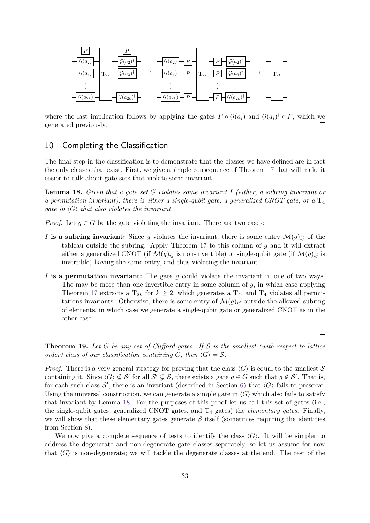

where the last implication follows by applying the gates  $P \circ \mathcal{G}(a_i)$  and  $\mathcal{G}(a_i)^{\dagger} \circ P$ , which we generated previously.  $\Box$ 

# <span id="page-32-0"></span>10 Completing the Classification

The final step in the classification is to demonstrate that the classes we have defined are in fact the only classes that exist. First, we give a simple consequence of Theorem [17](#page-30-2) that will make it easier to talk about gate sets that violate some invariant.

<span id="page-32-2"></span>**Lemma 18.** *Given that a gate set G violates some invariant I (either, a subring invariant or a permutation invariant), there is either a single-qubit gate, a generalized CNOT gate, or a*  $T_4$ *gate in*  $\langle G \rangle$  *that also violates the invariant.* 

*Proof.* Let  $g \in G$  be the gate violating the invariant. There are two cases:

- *I* is a subring invariant: Since *g* violates the invariant, there is some entry  $\mathcal{M}(g)_{ij}$  of the tableau outside the subring. Apply Theorem [17](#page-30-2) to this column of *g* and it will extract either a generalized CNOT (if  $\mathcal{M}(g)_{ij}$  is non-invertible) or single-qubit gate (if  $\mathcal{M}(g)_{ij}$  is invertible) having the same entry, and thus violating the invariant.
- *I* **is a permutation invariant:** The gate *g* could violate the invariant in one of two ways. The may be more than one invertible entry in some column of *g*, in which case applying Theorem [17](#page-30-2) extracts a  $T_{2k}$  for  $k \geq 2$ , which generates a  $T_4$ , and  $T_4$  violates all permutations invariants. Otherwise, there is some entry of  $\mathcal{M}(g)_{ij}$  outside the allowed subring of elements, in which case we generate a single-qubit gate or generalized CNOT as in the other case.

 $\Box$ 

<span id="page-32-1"></span>**Theorem 19.** *Let G be any set of Clifford gates. If* S *is the smallest (with respect to lattice order)* class of our classification containing G, then  $\langle G \rangle = S$ .

*Proof.* There is a very general strategy for proving that the class  $\langle G \rangle$  is equal to the smallest S containing it. Since  $\langle G \rangle \nsubseteq S'$  for all  $S' \subsetneq S$ , there exists a gate  $g \in G$  such that  $g \notin S'$ . That is, for each such class  $\mathcal{S}'$ , there is an invariant (described in Section [6\)](#page-17-0) that  $\langle G \rangle$  fails to preserve. Using the universal construction, we can generate a simple gate in  $\langle G \rangle$  which also fails to satisfy that invariant by Lemma [18.](#page-32-2) For the purposes of this proof let us call this set of gates (i.e., the single-qubit gates, generalized CNOT gates, and T<sup>4</sup> gates) the *elementary gates*. Finally, we will show that these elementary gates generate  $S$  itself (sometimes requiring the identities from Section [8\)](#page-25-1).

We now give a complete sequence of tests to identify the class  $\langle G \rangle$ . It will be simpler to address the degenerate and non-degenerate gate classes separately, so let us assume for now that  $\langle G \rangle$  is non-degenerate; we will tackle the degenerate classes at the end. The rest of the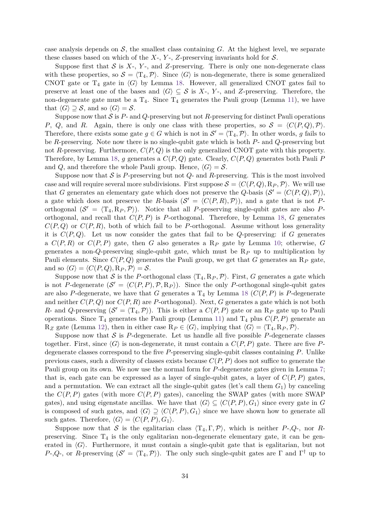case analysis depends on  $S$ , the smallest class containing  $G$ . At the highest level, we separate these classes based on which of the  $X$ -,  $Y$ -,  $Z$ -preserving invariants hold for  $S$ .

Suppose first that  $S$  is  $X$ -,  $Y$ -, and  $Z$ -preserving. There is only one non-degenerate class with these properties, so  $S = \langle T_4, P \rangle$ . Since  $\langle G \rangle$  is non-degenerate, there is some generalized CNOT gate or  $T_4$  gate in  $\langle G \rangle$  by Lemma [18.](#page-32-2) However, all generalized CNOT gates fail to preserve at least one of the bases and  $\langle G \rangle \subseteq S$  is *X*-, *Y*-, and *Z*-preserving. Therefore, the non-degenerate gate must be a  $T_4$ . Since  $T_4$  generates the Pauli group (Lemma [11\)](#page-26-0), we have that  $\langle G \rangle \supseteq S$ , and so  $\langle G \rangle = S$ .

Suppose now that  $S$  is  $P$ - and  $Q$ -preserving but not  $R$ -preserving for distinct Pauli operations *P*, *Q*, and *R*. Again, there is only one class with these properties, so  $S = \langle C(P,Q), P \rangle$ . Therefore, there exists some gate  $g \in G$  which is not in  $\mathcal{S}' = \langle T_4, \mathcal{P} \rangle$ . In other words, *g* fails to be *R*-preserving. Note now there is no single-qubit gate which is both *P*- and *Q*-preserving but not *R*-preserving. Furthermore, *C*(*P, Q*) is the only generalized CNOT gate with this property. Therefore, by Lemma [18,](#page-32-2) *g* generates a *C*(*P, Q*) gate. Clearly, *C*(*P, Q*) generates both Pauli *P* and *Q*, and therefore the whole Pauli group. Hence,  $\langle G \rangle = \mathcal{S}$ .

Suppose now that  $S$  is P-preserving but not  $Q$ - and  $R$ -preserving. This is the most involved case and will require several more subdivisions. First suppose  $S = \langle C(P,Q), R_P, P \rangle$ . We will use that *G* generates an elementary gate which does not preserve the *Q*-basis  $(S' = \langle C(P,Q), P \rangle)$ , a gate which does not preserve the *R*-basis  $(S' = \langle C(P,R), P \rangle)$ , and a gate that is not *P*orthogonal  $(S' = \langle T_4, R_P, P \rangle)$ . Notice that all *P*-preserving single-qubit gates are also *P*orthogonal, and recall that *C*(*P, P*) is *P*-orthogonal. Therefore, by Lemma [18,](#page-32-2) *G* generates  $C(P,Q)$  or  $C(P,R)$ , both of which fail to be *P*-orthogonal. Assume without loss generality it is  $C(P,Q)$ . Let us now consider the gates that fail to be *Q*-preserving: if *G* generates a *C*(*P, R*) or *C*(*P, P*) gate, then *G* also generates a R*<sup>P</sup>* gate by Lemma [10;](#page-25-0) otherwise, *G* generates a non-*Q*-preserving single-qubit gate, which must be R*<sup>P</sup>* up to multiplication by Pauli elements. Since *C*(*P, Q*) generates the Pauli group, we get that *G* generates an R*<sup>P</sup>* gate, and so  $\langle G \rangle = \langle C(P,Q), \mathbb{R}_P, \mathcal{P} \rangle = \mathcal{S}.$ 

Suppose now that S is the *P*-orthogonal class  $\langle T_4, R_P, P \rangle$ . First, G generates a gate which is not *P*-degenerate  $(S' = \langle C(P, P), P, R_P \rangle)$ . Since the only *P*-orthogonal single-qubit gates are also P-degenerate, we have that *G* generates a  $T_4$  by Lemma [18](#page-32-2) ( $C(P, P)$  is P-degenerate and neither  $C(P,Q)$  nor  $C(P,R)$  are *P*-orthogonal). Next, *G* generates a gate which is not both *R*- and *Q*-preserving  $(S' = \langle T_4, P \rangle)$ . This is either a  $C(P, P)$  gate or an R<sub>*P*</sub> gate up to Pauli operations. Since  $T_4$  generates the Pauli group (Lemma [11\)](#page-26-0) and  $T_4$  plus  $C(P, P)$  generate an  $R_Z$  gate (Lemma [12\)](#page-26-1), then in either case  $R_P \in \langle G \rangle$ , implying that  $\langle G \rangle = \langle T_4, R_P, \mathcal{P} \rangle$ .

Suppose now that  $S$  is  $P$ -degenerate. Let us handle all five possible  $P$ -degenerate classes together. First, since  $\langle G \rangle$  is non-degenerate, it must contain a  $C(P, P)$  gate. There are five Pdegenerate classes correspond to the five *P*-preserving single-qubit classes containing *P*. Unlike previous cases, such a diversity of classes exists because *C*(*P, P*) does not suffice to generate the Pauli group on its own. We now use the normal form for *P*-degenerate gates given in Lemma [7;](#page-23-2) that is, each gate can be expressed as a layer of single-qubit gates, a layer of  $C(P, P)$  gates, and a permutation. We can extract all the single-qubit gates (let's call them  $G_1$ ) by canceling the  $C(P, P)$  gates (with more  $C(P, P)$  gates), canceling the SWAP gates (with more SWAP gates), and using eigenstate ancillas. We have that  $\langle G \rangle \subseteq \langle C(P, P), G_1 \rangle$  since every gate in *G* is composed of such gates, and  $\langle G \rangle \supseteq \langle C(P, P), G_1 \rangle$  since we have shown how to generate all such gates. Therefore,  $\langle G \rangle = \langle C(P, P), G_1 \rangle$ .

Suppose now that S is the egalitarian class  $\langle T_4, \Gamma, \mathcal{P} \rangle$ , which is neither *P*-,*Q*-, nor *R*preserving. Since  $T_4$  is the only egalitarian non-degenerate elementary gate, it can be generated in  $\langle G \rangle$ . Furthermore, it must contain a single-qubit gate that is egalitarian, but not *P*-,*Q*-, or *R*-preserving  $(S' = \langle T_4, P \rangle)$ . The only such single-qubit gates are Γ and Γ<sup>†</sup> up to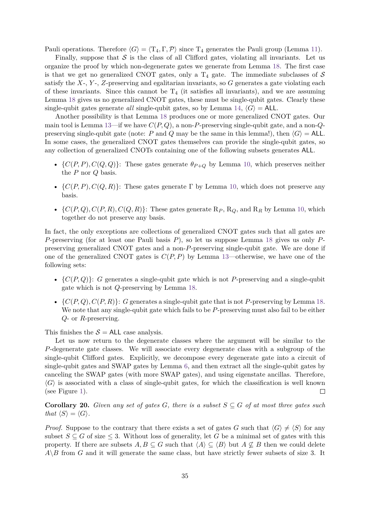Pauli operations. Therefore  $\langle G \rangle = \langle T_4, \Gamma, \mathcal{P} \rangle$  since  $T_4$  generates the Pauli group (Lemma [11\)](#page-26-0).

Finally, suppose that  $S$  is the class of all Clifford gates, violating all invariants. Let us organize the proof by which non-degenerate gates we generate from Lemma [18.](#page-32-2) The first case is that we get no generalized CNOT gates, only a  $T_4$  gate. The immediate subclasses of  $S$ satisfy the *X*-, *Y* -, *Z*-preserving and egalitarian invariants, so *G* generates a gate violating each of these invariants. Since this cannot be  $T_4$  (it satisfies all invariants), and we are assuming Lemma [18](#page-32-2) gives us no generalized CNOT gates, these must be single-qubit gates. Clearly these single-qubit gates generate *all* single-qubit gates, so by Lemma [14,](#page-27-3)  $\langle G \rangle$  = ALL.

Another possibility is that Lemma [18](#page-32-2) produces one or more generalized CNOT gates. Our main tool is Lemma [13—](#page-26-2)if we have *C*(*P, Q*), a non-*P*-preserving single-qubit gate, and a non-*Q*preserving single-qubit gate (note: *P* and *Q* may be the same in this lemma!), then  $\langle G \rangle$  = ALL. In some cases, the generalized CNOT gates themselves can provide the single-qubit gates, so any collection of generalized CNOTs containing one of the following subsets generates ALL.

- $\{C(P, P), C(Q, Q)\}$ : These gates generate  $\theta_{P+Q}$  by Lemma [10,](#page-25-0) which preserves neither the *P* nor *Q* basis.
- $\{C(P, P), C(Q, R)\}$ : These gates generate  $\Gamma$  by Lemma [10,](#page-25-0) which does not preserve any basis.
- $\{C(P,Q), C(P,R), C(Q,R)\}$ : These gates generate  $R_P$ ,  $R_Q$ , and  $R_R$  by Lemma [10,](#page-25-0) which together do not preserve any basis.

In fact, the only exceptions are collections of generalized CNOT gates such that all gates are *P*-preserving (for at least one Pauli basis *P*), so let us suppose Lemma [18](#page-32-2) gives us only *P*preserving generalized CNOT gates and a non-*P*-preserving single-qubit gate. We are done if one of the generalized CNOT gates is  $C(P, P)$  by Lemma [13—](#page-26-2)otherwise, we have one of the following sets:

- ${C(P,Q)}$ : *G* generates a single-qubit gate which is not *P*-preserving and a single-qubit gate which is not *Q*-preserving by Lemma [18.](#page-32-2)
- $\{C(P,Q), C(P,R)\}$ : *G* generates a single-qubit gate that is not *P*-preserving by Lemma [18.](#page-32-2) We note that any single-qubit gate which fails to be *P*-preserving must also fail to be either *Q*- or *R*-preserving.

This finishes the  $S = ALL$  case analysis.

Let us now return to the degenerate classes where the argument will be similar to the *P*-degenerate gate classes. We will associate every degenerate class with a subgroup of the single-qubit Clifford gates. Explicitly, we decompose every degenerate gate into a circuit of single-qubit gates and SWAP gates by Lemma [6,](#page-23-1) and then extract all the single-qubit gates by canceling the SWAP gates (with more SWAP gates), and using eigenstate ancillas. Therefore,  $\langle G \rangle$  is associated with a class of single-qubit gates, for which the classification is well known (see Figure [1\)](#page-4-0).  $\Box$ 

**Corollary 20.** *Given any set of gates G*, *there is a subset*  $S \subseteq G$  *of at most three gates such that*  $\langle S \rangle = \langle G \rangle$ *.* 

*Proof.* Suppose to the contrary that there exists a set of gates *G* such that  $\langle G \rangle \neq \langle S \rangle$  for any subset  $S \subseteq G$  of size  $\leq 3$ . Without loss of generality, let *G* be a minimal set of gates with this property. If there are subsets  $A, B \subseteq G$  such that  $\langle A \rangle \subseteq \langle B \rangle$  but  $A \not\subseteq B$  then we could delete  $A \setminus B$  from *G* and it will generate the same class, but have strictly fewer subsets of size 3. It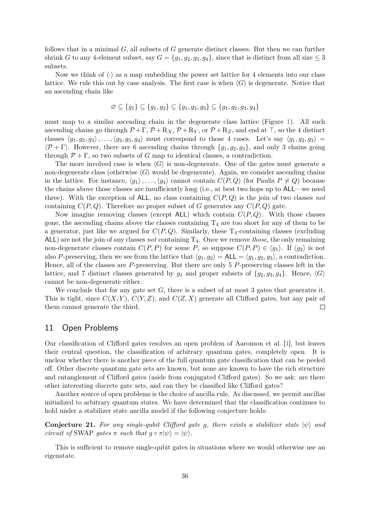follows that in a minimal *G*, all subsets of *G* generate distinct classes. But then we can further shrink *G* to any 4-element subset, say  $G = \{g_1, g_2, g_3, g_4\}$ , since that is distinct from all size  $\leq 3$ subsets.

Now we think of  $\langle \cdot \rangle$  as a map embedding the power set lattice for 4 elements into our class lattice. We rule this out by case analysis. The first case is when  $\langle G \rangle$  is degenerate. Notice that an ascending chain like

$$
\varnothing \subseteq \{g_1\} \subseteq \{g_1, g_2\} \subseteq \{g_1, g_2, g_3\} \subseteq \{g_1, g_2, g_3, g_4\}
$$

must map to a similar ascending chain in the degenerate class lattice (Figure [1\)](#page-4-0). All such ascending chains go through  $P + \Gamma$ ,  $P + R_X$ ,  $P + R_Y$ , or  $P + R_Z$ , and end at  $\top$ , so the 4 distinct classes  $\langle g_1, g_2, g_3 \rangle$ , ...,  $\langle g_2, g_3, g_4 \rangle$  must correspond to those 4 cases. Let's say  $\langle g_1, g_2, g_3 \rangle$  =  $\langle \mathcal{P} + \Gamma \rangle$ . However, there are 6 ascending chains through {*g*<sub>1</sub>*, g*<sub>2</sub>*, g*<sub>3</sub>}, and only 3 chains going through  $\mathcal{P} + \Gamma$ , so two subsets of *G* map to identical classes, a contradiction.

The more involved case is when  $\langle G \rangle$  is non-degenerate. One of the gates must generate a non-degenerate class (otherwise  $\langle G \rangle$  would be degenerate). Again, we consider ascending chains in the lattice. For instance,  $\langle g_1 \rangle, \ldots, \langle g_4 \rangle$  cannot contain  $C(P,Q)$  (for Paulis  $P \neq Q$ ) because the chains above those classes are insufficiently long (i.e., at best two hops up to ALL—we need three). With the exception of ALL, no class containing *C*(*P, Q*) is the join of two classes *not* containing  $C(P,Q)$ . Therefore no proper subset of *G* generates any  $C(P,Q)$  gate.

Now imagine removing classes (except ALL) which contain *C*(*P, Q*). With those classes gone, the ascending chains above the classes containing  $T_4$  are too short for any of them to be a generator, just like we argued for  $C(P,Q)$ . Similarly, these  $T_4$ -containing classes (excluding ALL) are not the join of any classes *not* containing T4. Once we remove *those*, the only remaining non-degenerate classes contain  $C(P, P)$  for some P, so suppose  $C(P, P) \in \langle g_1 \rangle$ . If  $\langle g_2 \rangle$  is not also *P*-preserving, then we see from the lattice that  $\langle g_1, g_2 \rangle = \text{ALL} = \langle g_1, g_2, g_3 \rangle$ , a contradiction. Hence, all of the classes are *P*-preserving. But there are only 5 *P*-preserving classes left in the lattice, and 7 distinct classes generated by  $g_1$  and proper subsets of  $\{g_2, g_3, g_4\}$ . Hence,  $\langle G \rangle$ cannot be non-degenerate either.

We conclude that for any gate set G, there is a subset of at most 3 gates that generates it. This is tight, since  $C(X, Y)$ ,  $C(Y, Z)$ , and  $C(Z, X)$  generate all Clifford gates, but any pair of them cannot generate the third.  $\Box$ 

## <span id="page-35-0"></span>11 Open Problems

Our classification of Clifford gates resolves an open problem of Aaronson et al. [\[1\]](#page-36-0), but leaves their central question, the classification of arbitrary quantum gates, completely open. It is unclear whether there is another piece of the full quantum gate classification that can be peeled off. Other discrete quantum gate sets are known, but none are known to have the rich structure and entanglement of Clifford gates (aside from conjugated Clifford gates). So we ask: are there other interesting discrete gate sets, and can they be classified like Clifford gates?

Another source of open problems is the choice of ancilla rule. As discussed, we permit ancillas initialized to arbitrary quantum states. We have determined that the classification continues to hold under a stabilizer state ancilla model if the following conjecture holds:

<span id="page-35-1"></span>**Conjecture 21.** For any single-qubit Clifford gate q, there exists a stabilizer state  $|\psi\rangle$  and *circuit of* SWAP *gates*  $\pi$  *such that*  $q \circ \pi | \psi \rangle = | \psi \rangle$ .

This is sufficient to remove single-qubit gates in situations where we would otherwise use an eigenstate.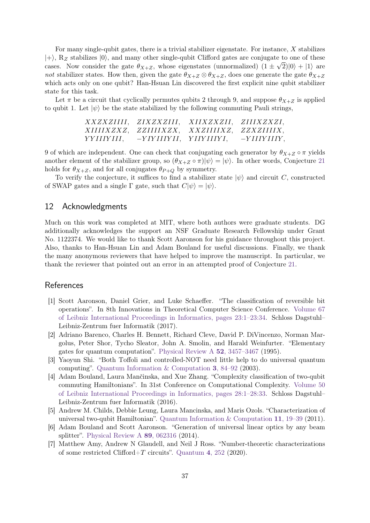For many single-qubit gates, there is a trivial stabilizer eigenstate. For instance, *X* stabilizes  $|+\rangle$ , R<sub>Z</sub> stabilizes  $|0\rangle$ , and many other single-qubit Clifford gates are conjugate to one of these cases. Now consider the gate  $\theta_{X+Z}$ , whose eigenstates (unnormalized)  $(1 \pm \sqrt{2})|0\rangle + |1\rangle$  are not stabilizer states. How then, given the gate  $\theta_{X+Z} \otimes \theta_{X+Z}$ , does one generate the gate  $\theta_{X+Z}$ which acts only on one qubit? Han-Hsuan Lin discovered the first explicit nine qubit stabilizer state for this task.

Let  $\pi$  be a circuit that cyclically permutes qubits 2 through 9, and suppose  $\theta_{X+Z}$  is applied to qubit 1. Let  $|\psi\rangle$  be the state stabilized by the following commuting Pauli strings,

|          |                         | XXZXZIIII, ZIXZXZIII, XIIXZXZII, ZIIIXZXZI, |               |
|----------|-------------------------|---------------------------------------------|---------------|
|          |                         | XIIIIXZXZ, ZZIIIIXZX, XXZIIIIXZ, ZZXZIIIIX, |               |
| YYHIYHI. | $-YIYIIIYII$ . YHYHIYL. |                                             | $-YIIIYIIIY,$ |

9 of which are independent. One can check that conjugating each generator by  $\theta_{X+Z} \circ \pi$  yields another element of the stabilizer group, so  $(\theta_{X+Z} \circ \pi)|\psi\rangle = |\psi\rangle$ . In other words, Conjecture [21](#page-35-1) holds for  $\theta_{X+Z}$ , and for all conjugates  $\theta_{P+Q}$  by symmetry.

To verify the conjecture, it suffices to find a stabilizer state  $|\psi\rangle$  and circuit *C*, constructed of SWAP gates and a single  $\Gamma$  gate, such that  $C|\psi\rangle = |\psi\rangle$ .

# 12 Acknowledgments

Much on this work was completed at MIT, where both authors were graduate students. DG additionally acknowledges the support an NSF Graduate Research Fellowship under Grant No. 1122374. We would like to thank Scott Aaronson for his guidance throughout this project. Also, thanks to Han-Hsuan Lin and Adam Bouland for useful discussions. Finally, we thank the many anonymous reviewers that have helped to improve the manuscript. In particular, we thank the reviewer that pointed out an error in an attempted proof of Conjecture [21.](#page-35-1)

## References

- <span id="page-36-0"></span>[1] Scott Aaronson, Daniel Grier, and Luke Schaeffer. "The classification of reversible bit operations". In 8th Innovations in Theoretical Computer Science Conference. [Volume 67](https://dx.doi.org/10.4230/LIPIcs.ITCS.2017.23) [of Leibniz International Proceedings in Informatics, pages 23:1–23:34.](https://dx.doi.org/10.4230/LIPIcs.ITCS.2017.23) Schloss Dagstuhl– Leibniz-Zentrum fuer Informatik (2017).
- <span id="page-36-1"></span>[2] Adriano Barenco, Charles H. Bennett, Richard Cleve, David P. DiVincenzo, Norman Margolus, Peter Shor, Tycho Sleator, John A. Smolin, and Harald Weinfurter. "Elementary gates for quantum computation". [Physical Review A](https://dx.doi.org/10.1103/PhysRevA.52.3457) **52**, 3457–3467 (1995).
- <span id="page-36-2"></span>[3] Yaoyun Shi. "Both Toffoli and controlled-NOT need little help to do universal quantum computing". [Quantum Information & Computation](https://dx.doi.org/10.26421/QIC3.1-7) **3**, 84–92 (2003).
- <span id="page-36-3"></span>[4] Adam Bouland, Laura Mančinska, and Xue Zhang. "Complexity classification of two-qubit commuting Hamiltonians". In 31st Conference on Computational Complexity. [Volume 50](https://dx.doi.org/10.4230/LIPIcs.CCC.2016.28) [of Leibniz International Proceedings in Informatics, pages 28:1–28:33.](https://dx.doi.org/10.4230/LIPIcs.CCC.2016.28) Schloss Dagstuhl– Leibniz-Zentrum fuer Informatik (2016).
- <span id="page-36-4"></span>[5] Andrew M. Childs, Debbie Leung, Laura Mancinska, and Maris Ozols. "Characterization of universal two-qubit Hamiltonian". [Quantum Information & Computation](https://dx.doi.org/10.26421/QIC11.1-2-3) **11**, 19–39 (2011).
- <span id="page-36-5"></span>[6] Adam Bouland and Scott Aaronson. "Generation of universal linear optics by any beam splitter". [Physical Review A](https://dx.doi.org/10.1103/PhysRevA.89.062316) **89**, 062316 (2014).
- <span id="page-36-6"></span>[7] Matthew Amy, Andrew N Glaudell, and Neil J Ross. "Number-theoretic characterizations of some restricted Clifford+*T* circuits". [Quantum](https://dx.doi.org/10.22331/q-2020-04-06-252) **4**, 252 (2020).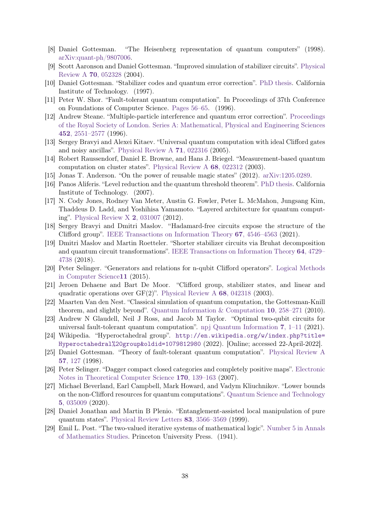- <span id="page-37-0"></span>[8] Daniel Gottesman. "The Heisenberg representation of quantum computers" (1998). [arXiv:quant-ph/9807006.](http://arxiv.org/abs/quant-ph/9807006)
- <span id="page-37-1"></span>[9] Scott Aaronson and Daniel Gottesman. "Improved simulation of stabilizer circuits". [Physical](https://dx.doi.org/10.1103/PhysRevA.70.052328) [Review A](https://dx.doi.org/10.1103/PhysRevA.70.052328) **70**, 052328 (2004).
- <span id="page-37-2"></span>[10] Daniel Gottesman. "Stabilizer codes and quantum error correction". [PhD thesis.](https://dx.doi.org/10.7907/rzr7-dt72) California Institute of Technology. (1997).
- <span id="page-37-3"></span>[11] Peter W. Shor. "Fault-tolerant quantum computation". In Proceedings of 37th Conference on Foundations of Computer Science. [Pages 56–65.](https://dx.doi.org/10.1109/SFCS.1996.548464) (1996).
- <span id="page-37-4"></span>[12] Andrew Steane. "Multiple-particle interference and quantum error correction". [Proceedings](https://dx.doi.org/10.1098/rspa.1996.0136) [of the Royal Society of London. Series A: Mathematical, Physical and Engineering Sciences](https://dx.doi.org/10.1098/rspa.1996.0136) **452**[, 2551–2577](https://dx.doi.org/10.1098/rspa.1996.0136) (1996).
- <span id="page-37-5"></span>[13] Sergey Bravyi and Alexei Kitaev. "Universal quantum computation with ideal Clifford gates and noisy ancillas". [Physical Review A](https://dx.doi.org/10.1103/PhysRevA.71.022316) **71**, 022316 (2005).
- <span id="page-37-6"></span>[14] Robert Raussendorf, Daniel E. Browne, and Hans J. Briegel. "Measurement-based quantum computation on cluster states". [Physical Review A](https://dx.doi.org/10.1103/PhysRevA.68.022312) **68**, 022312 (2003).
- <span id="page-37-7"></span>[15] Jonas T. Anderson. "On the power of reusable magic states" (2012). [arXiv:1205.0289.](http://arxiv.org/abs/1205.0289)
- <span id="page-37-8"></span>[16] Panos Aliferis. "Level reduction and the quantum threshold theorem". [PhD thesis.](https://dx.doi.org/10.7907/3ZM6-HE29) California Institute of Technology. (2007).
- <span id="page-37-9"></span>[17] N. Cody Jones, Rodney Van Meter, Austin G. Fowler, Peter L. McMahon, Jungsang Kim, Thaddeus D. Ladd, and Yoshihisa Yamamoto. "Layered architecture for quantum computing". [Physical Review X](https://dx.doi.org/10.1103/PhysRevX.2.031007) **2**, 031007 (2012).
- <span id="page-37-10"></span>[18] Sergey Bravyi and Dmitri Maslov. "Hadamard-free circuits expose the structure of the Clifford group". [IEEE Transactions on Information Theory](https://dx.doi.org/10.1109/TIT.2021.3081415) **67**, 4546–4563 (2021).
- [19] Dmitri Maslov and Martin Roetteler. "Shorter stabilizer circuits via Bruhat decomposition and quantum circuit transformations". [IEEE Transactions on Information Theory](https://dx.doi.org/10.1109/TIT.2018.2825602) **64**, 4729– [4738](https://dx.doi.org/10.1109/TIT.2018.2825602) (2018).
- <span id="page-37-11"></span>[20] Peter Selinger. "Generators and relations for n-qubit Clifford operators". [Logical Methods](https://dx.doi.org/10.2168/LMCS-11(2:10)2015) [in Computer Science](https://dx.doi.org/10.2168/LMCS-11(2:10)2015)**11** (2015).
- <span id="page-37-12"></span>[21] Jeroen Dehaene and Bart De Moor. "Clifford group, stabilizer states, and linear and quadratic operations over GF(2)". [Physical Review A](https://dx.doi.org/10.1103/PhysRevA.68.042318) **68**, 042318 (2003).
- <span id="page-37-13"></span>[22] Maarten Van den Nest. "Classical simulation of quantum computation, the Gottesman-Knill theorem, and slightly beyond". [Quantum Information & Computation](https://dx.doi.org/10.26421/QIC10.3-4-6) **10**, 258–271 (2010).
- <span id="page-37-14"></span>[23] Andrew N Glaudell, Neil J Ross, and Jacob M Taylor. "Optimal two-qubit circuits for universal fault-tolerant quantum computation". [npj Quantum Information](https://dx.doi.org/10.1038/s41534-021-00424-z) **7**, 1–11 (2021).
- <span id="page-37-15"></span>[24] Wikipedia. "Hyperoctahedral group". [http://en.wikipedia.org/w/index.php?title=](http://en.wikipedia.org/w/index.php?title=Hyperoctahedral%20group&oldid=1079812980) [Hyperoctahedral%20group&oldid=1079812980](http://en.wikipedia.org/w/index.php?title=Hyperoctahedral%20group&oldid=1079812980) (2022). [Online; accessed 22-April-2022].
- <span id="page-37-16"></span>[25] Daniel Gottesman. "Theory of fault-tolerant quantum computation". [Physical Review A](https://dx.doi.org/10.1103/PhysRevA.57.127) **57**[, 127](https://dx.doi.org/10.1103/PhysRevA.57.127) (1998).
- <span id="page-37-19"></span>[26] Peter Selinger. "Dagger compact closed categories and completely positive maps". [Electronic](https://dx.doi.org/10.1016/j.entcs.2006.12.018) [Notes in Theoretical Computer Science](https://dx.doi.org/10.1016/j.entcs.2006.12.018) **170**, 139–163 (2007).
- <span id="page-37-17"></span>[27] Michael Beverland, Earl Campbell, Mark Howard, and Vadym Kliuchnikov. "Lower bounds on the non-Clifford resources for quantum computations". [Quantum Science and Technology](https://dx.doi.org/10.1088/2058-9565/ab8963) **5**[, 035009](https://dx.doi.org/10.1088/2058-9565/ab8963) (2020).
- <span id="page-37-18"></span>[28] Daniel Jonathan and Martin B Plenio. "Entanglement-assisted local manipulation of pure quantum states". [Physical Review Letters](https://dx.doi.org/10.1103/PhysRevLett.83.3566) **83**, 3566–3569 (1999).
- <span id="page-37-20"></span>[29] Emil L. Post. "The two-valued iterative systems of mathematical logic". [Number 5 in Annals](https://dx.doi.org/10.1515/9781400882366) [of Mathematics Studies.](https://dx.doi.org/10.1515/9781400882366) Princeton University Press. (1941).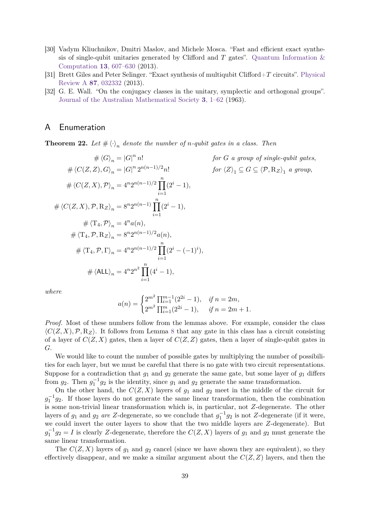- <span id="page-38-1"></span>[30] Vadym Kliuchnikov, Dmitri Maslov, and Michele Mosca. "Fast and efficient exact synthesis of single-qubit unitaries generated by Clifford and  $T$  gates". Quantum Information  $\&$ [Computation](https://dx.doi.org/10.26421/QIC13.7-8-4) **13**, 607–630 (2013).
- <span id="page-38-2"></span>[31] Brett Giles and Peter Selinger. "Exact synthesis of multiqubit Clifford+*T* circuits". [Physical](https://dx.doi.org/10.1103/PhysRevA.87.032332) [Review A](https://dx.doi.org/10.1103/PhysRevA.87.032332) **87**, 032332 (2013).
- <span id="page-38-3"></span>[32] G. E. Wall. "On the conjugacy classes in the unitary, symplectic and orthogonal groups". [Journal of the Australian Mathematical Society](https://dx.doi.org/10.1017/S1446788700027622) **3**, 1–62 (1963).

# <span id="page-38-0"></span>A Enumeration

<span id="page-38-4"></span>**Theorem 22.** Let  $\#\langle \cdot \rangle_n$  denote the number of *n*-qubit gates in a class. Then

$$
\# \langle G \rangle_n = |G|^n n! \qquad \text{for } G \text{ a group of single-qubit gates,}
$$
  
\n
$$
\# \langle C(Z, Z), G \rangle_n = |G|^n 2^{n(n-1)/2} n! \qquad \text{for } \langle Z \rangle_1 \subseteq G \subseteq \langle \mathcal{P}, \mathcal{R}_Z \rangle_1 \text{ a group,}
$$
  
\n
$$
\# \langle C(Z, X), \mathcal{P} \rangle_n = 4^n 2^{n(n-1)/2} \prod_{i=1}^n (2^i - 1),
$$
  
\n
$$
\# \langle \langle T(Z, X), \mathcal{P}, \mathcal{R}_Z \rangle_n = 8^n 2^{n(n-1)} \prod_{i=1}^n (2^i - 1),
$$
  
\n
$$
\# \langle \langle T_4, \mathcal{P} \rangle_n = 4^n a(n),
$$
  
\n
$$
\# \langle T_4, \mathcal{P}, \mathcal{R}_Z \rangle_n = 8^n 2^{n(n-1)/2} a(n),
$$
  
\n
$$
\# \langle \langle T_4, \mathcal{P}, \Gamma \rangle_n = 4^n 2^{n(n-1)/2} \prod_{i=1}^n (2^i - (-1)^i),
$$
  
\n
$$
\# \langle \langle ALL \rangle_n = 4^n 2^{n^2} \prod_{i=1}^n (4^i - 1),
$$

*where*

$$
a(n) = \begin{cases} 2^{m^2} \prod_{i=1}^{m-1} (2^{2i} - 1), & \text{if } n = 2m, \\ 2^{m^2} \prod_{i=1}^{m} (2^{2i} - 1), & \text{if } n = 2m + 1. \end{cases}
$$

*Proof.* Most of these numbers follow from the lemmas above. For example, consider the class  $\langle C(Z,X), \mathcal{P}, R_Z \rangle$ . It follows from Lemma [8](#page-24-0) that any gate in this class has a circuit consisting of a layer of  $C(Z, X)$  gates, then a layer of  $C(Z, Z)$  gates, then a layer of single-qubit gates in *G*.

We would like to count the number of possible gates by multiplying the number of possibilities for each layer, but we must be careful that there is no gate with two circuit representations. Suppose for a contradiction that *g*<sup>1</sup> and *g*<sup>2</sup> generate the same gate, but some layer of *g*<sup>1</sup> differs from  $g_2$ . Then  $g_1^{-1}g_2$  is the identity, since  $g_1$  and  $g_2$  generate the same transformation.

On the other hand, the  $C(Z, X)$  layers of  $g_1$  and  $g_2$  meet in the middle of the circuit for  $g_1^{-1}g_2$ . If those layers do not generate the same linear transformation, then the combination is some non-trivial linear transformation which is, in particular, not *Z*-degenerate. The other layers of  $g_1$  and  $g_2$  *are Z*-degenerate, so we conclude that  $g_1^{-1}g_2$  is not *Z*-degenerate (if it were, we could invert the outer layers to show that the two middle layers are *Z*-degenerate). But  $g_1^{-1}g_2 = I$  is clearly *Z*-degenerate, therefore the  $C(Z, X)$  layers of  $g_1$  and  $g_2$  must generate the same linear transformation.

The  $C(Z, X)$  layers of  $g_1$  and  $g_2$  cancel (since we have shown they are equivalent), so they effectively disappear, and we make a similar argument about the  $C(Z, Z)$  layers, and then the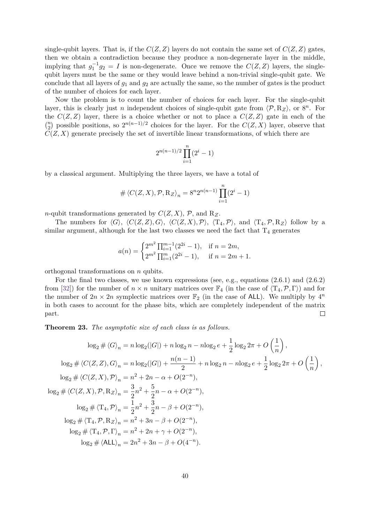single-qubit layers. That is, if the  $C(Z, Z)$  layers do not contain the same set of  $C(Z, Z)$  gates, then we obtain a contradiction because they produce a non-degenerate layer in the middle, implying that  $g_1^{-1}g_2 = I$  is non-degenerate. Once we remove the  $C(Z, Z)$  layers, the singlequbit layers must be the same or they would leave behind a non-trivial single-qubit gate. We conclude that all layers of *g*<sup>1</sup> and *g*<sup>2</sup> are actually the same, so the number of gates is the product of the number of choices for each layer.

Now the problem is to count the number of choices for each layer. For the single-qubit layer, this is clearly just *n* independent choices of single-qubit gate from  $\langle P, R_Z \rangle$ , or  $8^n$ . For the  $C(Z, Z)$  layer, there is a choice whether or not to place a  $C(Z, Z)$  gate in each of the  $\binom{n}{2}$  possible positions, so  $2^{n(n-1)/2}$  choices for the layer. For the *C*(*Z, X*) layer, observe that  $C(Z, X)$  generate precisely the set of invertible linear transformations, of which there are

$$
2^{n(n-1)/2} \prod_{i=1}^{n} (2^i - 1)
$$

by a classical argument. Multiplying the three layers, we have a total of

$$
\# \left\langle C(Z,X), \mathcal{P}, \mathcal{R}_Z \right\rangle_n = 8^n 2^{n(n-1)} \prod_{i=1}^n (2^i - 1)
$$

*n*-qubit transformations generated by  $C(Z, X)$ ,  $\mathcal{P}$ , and  $R_Z$ .

The numbers for  $\langle G \rangle$ ,  $\langle C(Z, Z), G \rangle$ ,  $\langle C(Z, X), \mathcal{P} \rangle$ ,  $\langle T_4, \mathcal{P} \rangle$ , and  $\langle T_4, \mathcal{P}, R_Z \rangle$  follow by a similar argument, although for the last two classes we need the fact that  $T_4$  generates

$$
a(n) = \begin{cases} 2^{m^2} \prod_{i=1}^{m-1} (2^{2i} - 1), & \text{if } n = 2m, \\ 2^{m^2} \prod_{i=1}^{m} (2^{2i} - 1), & \text{if } n = 2m + 1. \end{cases}
$$

orthogonal transformations on *n* qubits.

For the final two classes, we use known expressions (see, e.g., equations (2.6.1) and (2.6.2) from [\[32\]](#page-38-3)) for the number of  $n \times n$  unitary matrices over  $\mathbb{F}_4$  (in the case of  $\langle T_4, \mathcal{P}, \Gamma \rangle$ ) and for the number of  $2n \times 2n$  symplectic matrices over  $\mathbb{F}_2$  (in the case of ALL). We multiply by  $4^n$ in both cases to account for the phase bits, which are completely independent of the matrix part.  $\Box$ 

**Theorem 23.** *The asymptotic size of each class is as follows.*

$$
\log_2 \# \langle G \rangle_n = n \log_2(|G|) + n \log_2 n - n \log_2 e + \frac{1}{2} \log_2 2\pi + O\left(\frac{1}{n}\right),
$$
  
\n
$$
\log_2 \# \langle C(Z, Z), G \rangle_n = n \log_2(|G|) + \frac{n(n-1)}{2} + n \log_2 n - n \log_2 e + \frac{1}{2} \log_2 2\pi + O\left(\frac{1}{n}\right),
$$
  
\n
$$
\log_2 \# \langle C(Z, X), \mathcal{P} \rangle_n = n^2 + 2n - \alpha + O(2^{-n}),
$$
  
\n
$$
\log_2 \# \langle C(Z, X), \mathcal{P}, \mathcal{R}_Z \rangle_n = \frac{3}{2}n^2 + \frac{5}{2}n - \alpha + O(2^{-n}),
$$
  
\n
$$
\log_2 \# \langle \mathcal{T}_4, \mathcal{P} \rangle_n = \frac{1}{2}n^2 + \frac{3}{2}n - \beta + O(2^{-n}),
$$
  
\n
$$
\log_2 \# \langle \mathcal{T}_4, \mathcal{P}, \mathcal{R}_Z \rangle_n = n^2 + 3n - \beta + O(2^{-n}),
$$
  
\n
$$
\log_2 \# \langle \mathcal{T}_4, \mathcal{P}, \Gamma \rangle_n = n^2 + 2n + \gamma + O(2^{-n}),
$$
  
\n
$$
\log_2 \# \langle \mathcal{A} L \rangle_n = 2n^2 + 3n - \beta + O(4^{-n}).
$$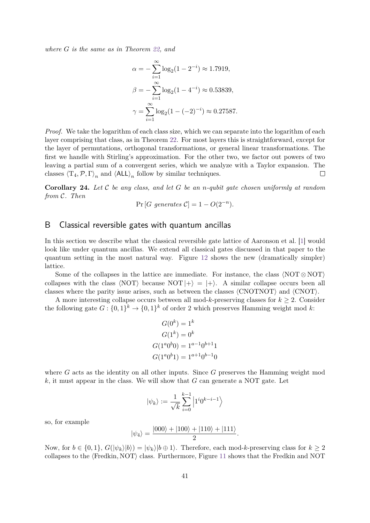*where G is the same as in Theorem [22,](#page-38-4) and*

$$
\alpha = -\sum_{i=1}^{\infty} \log_2(1 - 2^{-i}) \approx 1.7919,
$$
  

$$
\beta = -\sum_{i=1}^{\infty} \log_2(1 - 4^{-i}) \approx 0.53839,
$$
  

$$
\gamma = \sum_{i=1}^{\infty} \log_2(1 - (-2)^{-i}) \approx 0.27587.
$$

*Proof.* We take the logarithm of each class size, which we can separate into the logarithm of each layer comprising that class, as in Theorem [22.](#page-38-4) For most layers this is straightforward, except for the layer of permutations, orthogonal transformations, or general linear transformations. The first we handle with Stirling's approximation. For the other two, we factor out powers of two leaving a partial sum of a convergent series, which we analyze with a Taylor expansion. The classes  $\langle T_4, P, \Gamma \rangle_n$  and  $\langle ALL \rangle_n$  follow by similar techniques.  $\Box$ 

**Corollary 24.** *Let* C *be any class, and let G be an n-qubit gate chosen uniformly at random from* C*. Then*

$$
Pr[G \text{ generates } C] = 1 - O(2^{-n}).
$$

## <span id="page-40-0"></span>B Classical reversible gates with quantum ancillas

In this section we describe what the classical reversible gate lattice of Aaronson et al. [\[1\]](#page-36-0) would look like under quantum ancillas. We extend all classical gates discussed in that paper to the quantum setting in the most natural way. Figure [12](#page-41-0) shows the new (dramatically simpler) lattice.

Some of the collapses in the lattice are immediate. For instance, the class  $\langle \text{NOT} \otimes \text{NOT} \rangle$ collapses with the class  $\langle \text{NOT} \rangle$  because  $\text{NOT} |+\rangle = |+\rangle$ . A similar collapse occurs been all classes where the parity issue arises, such as between the classes  $\langle \text{CNOTNOT} \rangle$  and  $\langle \text{CNOT} \rangle$ .

A more interesting collapse occurs between all mod-k-preserving classes for  $k \geq 2$ . Consider the following gate  $G: \{0,1\}^k \to \{0,1\}^k$  of order 2 which preserves Hamming weight mod k:

$$
G(0k) = 1k
$$
  
\n
$$
G(1k) = 0k
$$
  
\n
$$
G(1a0b0) = 1a-10b+11
$$
  
\n
$$
G(1a0b1) = 1a+10b-10
$$

where *G* acts as the identity on all other inputs. Since *G* preserves the Hamming weight mod *k*, it must appear in the class. We will show that *G* can generate a NOT gate. Let

$$
|\psi_k\rangle := \frac{1}{\sqrt{k}} \sum_{i=0}^{k-1} \left|1^i 0^{k-i-1}\right\rangle
$$

so, for example

$$
|\psi_4\rangle = \frac{|000\rangle + |100\rangle + |110\rangle + |111\rangle}{2}.
$$

Now, for  $b \in \{0,1\}$ ,  $G(|\psi_k\rangle|b\rangle) = |\psi_k\rangle|b \oplus 1\rangle$ . Therefore, each mod-*k*-preserving class for  $k \geq 2$ collapses to the  $\langle$ Fredkin, NOT $\rangle$  class. Furthermore, Figure [11](#page-41-1) shows that the Fredkin and NOT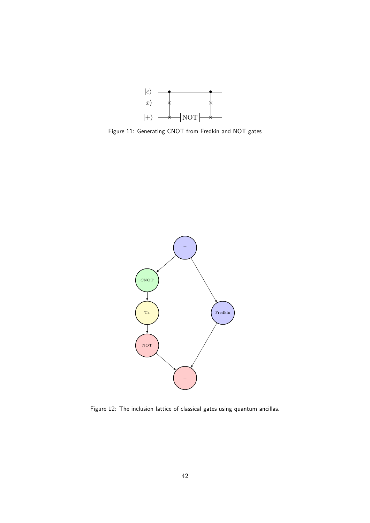

<span id="page-41-1"></span>Figure 11: Generating CNOT from Fredkin and NOT gates

<span id="page-41-0"></span>

Figure 12: The inclusion lattice of classical gates using quantum ancillas.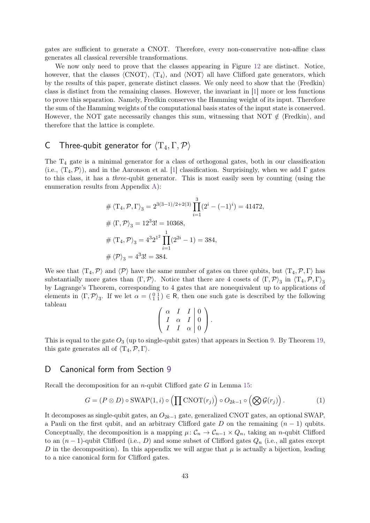gates are sufficient to generate a CNOT. Therefore, every non-conservative non-affine class generates all classical reversible transformations.

We now only need to prove that the classes appearing in Figure [12](#page-41-0) are distinct. Notice, however, that the classes  $\langle \text{CNOT} \rangle$ ,  $\langle \text{T}_4 \rangle$ , and  $\langle \text{NOT} \rangle$  all have Clifford gate generators, which by the results of this paper, generate distinct classes. We only need to show that the  $\{Fredkin\}$ class is distinct from the remaining classes. However, the invariant in [\[1\]](#page-36-0) more or less functions to prove this separation. Namely, Fredkin conserves the Hamming weight of its input. Therefore the sum of the Hamming weights of the computational basis states of the input state is conserved. However, the NOT gate necessarily changes this sum, witnessing that NOT  $\notin$   $\langle$  Fredkin $\rangle$ , and therefore that the lattice is complete.

# <span id="page-42-0"></span>C Three-qubit generator for hT4*,* Γ*,*Pi

The  $T_4$  gate is a minimal generator for a class of orthogonal gates, both in our classification (i.e.,  $\langle T_4, \mathcal{P} \rangle$ ), and in the Aaronson et al. [\[1\]](#page-36-0) classification. Surprisingly, when we add Γ gates to this class, it has a three-qubit generator. This is most easily seen by counting (using the enumeration results from Appendix [A\)](#page-38-0):

$$
\# \langle \mathcal{T}_4, \mathcal{P}, \Gamma \rangle_3 = 2^{3(3-1)/2 + 2(3)} \prod_{i=1}^3 (2^i - (-1)^i) = 41472,
$$
  

$$
\# \langle \Gamma, \mathcal{P} \rangle_3 = 12^3 3! = 10368,
$$
  

$$
\# \langle \mathcal{T}_4, \mathcal{P} \rangle_3 = 4^3 2^{1^2} \prod_{i=1}^1 (2^{2i} - 1) = 384,
$$
  

$$
\# \langle \mathcal{P} \rangle_3 = 4^3 3! = 384.
$$

We see that  $\langle T_4, \mathcal{P} \rangle$  and  $\langle \mathcal{P} \rangle$  have the same number of gates on three qubits, but  $\langle T_4, \mathcal{P}, \Gamma \rangle$  has substantially more gates than  $\langle \Gamma, \mathcal{P} \rangle$ . Notice that there are 4 cosets of  $\langle \Gamma, \mathcal{P} \rangle$ <sub>3</sub> in  $\langle T_4, \mathcal{P}, \Gamma \rangle$ <sub>3</sub> by Lagrange's Theorem, corresponding to 4 gates that are nonequivalent up to applications of elements in  $\langle \Gamma, \mathcal{P} \rangle_3$ . If we let  $\alpha = \begin{pmatrix} 0 & 1 \\ 1 & 1 \end{pmatrix} \in \mathsf{R}$ , then one such gate is described by the following tableau

$$
\left(\begin{array}{ccc|c}\n\alpha & I & I & 0 \\
I & \alpha & I & 0 \\
I & I & \alpha & 0\n\end{array}\right).
$$

This is equal to the gate  $O_3$  (up to single-qubit gates) that appears in Section [9.](#page-27-0) By Theorem [19,](#page-32-1) this gate generates all of  $\langle T_4, P, \Gamma \rangle$ .

# D Canonical form from Section [9](#page-27-0)

Recall the decomposition for an *n*-qubit Clifford gate *G* in Lemma [15:](#page-29-0)

$$
G = (P \otimes D) \circ \text{SWAP}(1, i) \circ \left( \prod \text{CNOT}(r_j) \right) \circ O_{2k-1} \circ \left( \bigotimes \mathcal{G}(r_j) \right). \tag{1}
$$

It decomposes as single-qubit gates, an *O*2*k*−<sup>1</sup> gate, generalized CNOT gates, an optional SWAP, a Pauli on the first qubit, and an arbitrary Clifford gate *D* on the remaining (*n* − 1) qubits. Conceptually, the decomposition is a mapping  $\mu$ :  $C_n \to C_{n-1} \times Q_n$ , taking an *n*-qubit Clifford to an (*n* − 1)-qubit Clifford (i.e., *D*) and some subset of Clifford gates *Q<sup>n</sup>* (i.e., all gates except *D* in the decomposition). In this appendix we will argue that  $\mu$  is actually a bijection, leading to a nice canonical form for Clifford gates.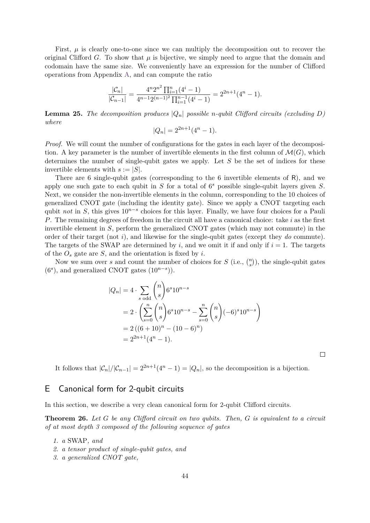First,  $\mu$  is clearly one-to-one since we can multiply the decomposition out to recover the original Clifford *G*. To show that  $\mu$  is bijective, we simply need to argue that the domain and codomain have the same size. We conveniently have an expression for the number of Clifford operations from Appendix [A,](#page-38-0) and can compute the ratio

$$
\frac{|\mathcal{C}_n|}{|\mathcal{C}_{n-1}|} = \frac{4^n 2^{n^2} \prod_{i=1}^n (4^i - 1)}{4^{n-1} 2^{(n-1)^2} \prod_{i=1}^{n-1} (4^i - 1)} = 2^{2n+1} (4^n - 1).
$$

**Lemma 25.** The decomposition produces  $|Q_n|$  possible *n*-qubit Clifford circuits (excluding  $D$ ) *where*

$$
|Q_n| = 2^{2n+1}(4^n - 1).
$$

*Proof.* We will count the number of configurations for the gates in each layer of the decomposition. A key parameter is the number of invertible elements in the first column of  $\mathcal{M}(G)$ , which determines the number of single-qubit gates we apply. Let *S* be the set of indices for these invertible elements with  $s := |S|$ .

There are 6 single-qubit gates (corresponding to the 6 invertible elements of R), and we apply one such gate to each qubit in *S* for a total of 6 *<sup>s</sup>* possible single-qubit layers given *S*. Next, we consider the non-invertible elements in the column, corresponding to the 10 choices of generalized CNOT gate (including the identity gate). Since we apply a CNOT targeting each qubit *not* in *S*, this gives 10<sup>*n*−*s*</sup> choices for this layer. Finally, we have four choices for a Pauli *P*. The remaining degrees of freedom in the circuit all have a canonical choice: take *i* as the first invertible element in *S*, perform the generalized CNOT gates (which may not commute) in the order of their target (not *i*), and likewise for the single-qubit gates (except they *do* commute). The targets of the SWAP are determined by *i*, and we omit it if and only if  $i = 1$ . The targets of the *O<sup>s</sup>* gate are *S*, and the orientation is fixed by *i*.

Now we sum over *s* and count the number of choices for  $S$  (i.e.,  $\binom{n}{s}$ ), the single-qubit gates  $(6<sup>s</sup>)$ , and generalized CNOT gates  $(10<sup>n-s</sup>)$ ).

$$
|Q_n| = 4 \cdot \sum_{s \text{ odd}} {n \choose s} 6^s 10^{n-s}
$$
  
=  $2 \cdot \left( \sum_{s=0}^n {n \choose s} 6^s 10^{n-s} - \sum_{s=0}^n {n \choose s} (-6)^s 10^{n-s} \right)$   
=  $2 ((6 + 10)^n - (10 - 6)^n)$   
=  $2^{2n+1} (4^n - 1).$ 

It follows that  $|\mathcal{C}_n|/|\mathcal{C}_{n-1}| = 2^{2n+1}(4^n - 1) = |Q_n|$ , so the decomposition is a bijection.

## <span id="page-43-0"></span>E Canonical form for 2-qubit circuits

In this section, we describe a very clean canonical form for 2-qubit Clifford circuits.

**Theorem 26.** *Let G be any Clifford circuit on two qubits. Then, G is equivalent to a circuit of at most depth 3 composed of the following sequence of gates*

- *1. a* SWAP*, and*
- *2. a tensor product of single-qubit gates, and*
- *3. a generalized CNOT gate,*

 $\Box$